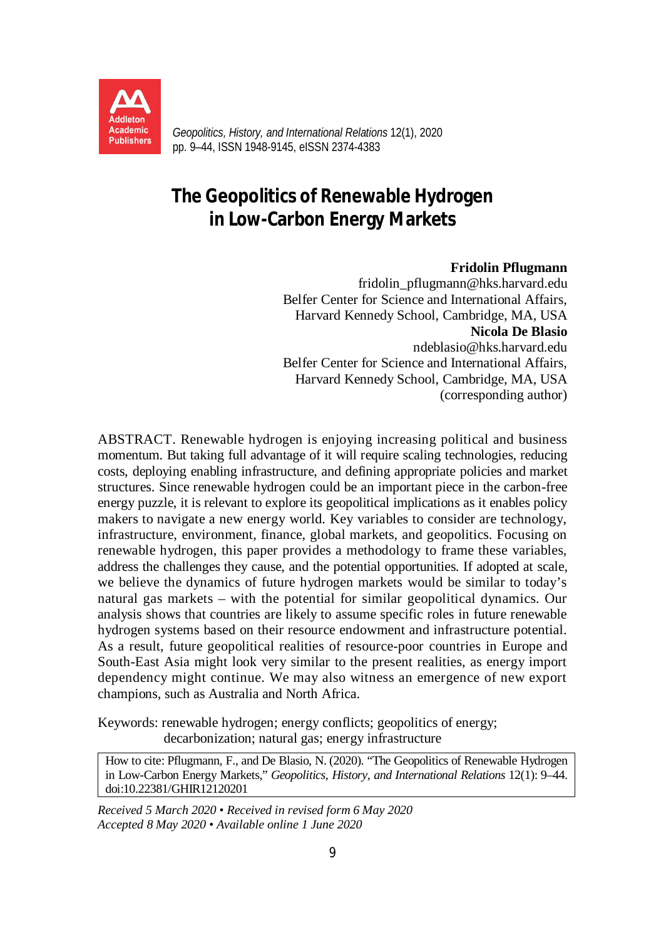

*Geopolitics, History, and International Relations* 12(1), 2020 pp. 9–44, ISSN 1948-9145, eISSN 2374-4383

# **The Geopolitics of Renewable Hydrogen in Low-Carbon Energy Markets**

#### **Fridolin Pflugmann**

[fridolin\\_pflugmann@hks.harvard.edu](mailto:fridolin_pflugmann@hks.harvard.edu) Belfer Center for Science and International Affairs, Harvard Kennedy School, Cambridge, MA, USA **Nicola De Blasio**  [ndeblasio@hks.harvard.edu](mailto:ndeblasio@hks.harvard.edu) Belfer Center for Science and International Affairs, Harvard Kennedy School, Cambridge, MA, USA (corresponding author)

ABSTRACT. Renewable hydrogen is enjoying increasing political and business momentum. But taking full advantage of it will require scaling technologies, reducing costs, deploying enabling infrastructure, and defining appropriate policies and market structures. Since renewable hydrogen could be an important piece in the carbon-free energy puzzle, it is relevant to explore its geopolitical implications as it enables policy makers to navigate a new energy world. Key variables to consider are technology, infrastructure, environment, finance, global markets, and geopolitics. Focusing on renewable hydrogen, this paper provides a methodology to frame these variables, address the challenges they cause, and the potential opportunities. If adopted at scale, we believe the dynamics of future hydrogen markets would be similar to today's natural gas markets – with the potential for similar geopolitical dynamics. Our analysis shows that countries are likely to assume specific roles in future renewable hydrogen systems based on their resource endowment and infrastructure potential. As a result, future geopolitical realities of resource-poor countries in Europe and South-East Asia might look very similar to the present realities, as energy import dependency might continue. We may also witness an emergence of new export champions, such as Australia and North Africa.

Keywords: renewable hydrogen; energy conflicts; geopolitics of energy; decarbonization; natural gas; energy infrastructure

How to cite: Pflugmann, F., and De Blasio, N. (2020). "The Geopolitics of Renewable Hydrogen in Low-Carbon Energy Markets," *Geopolitics, History, and International Relations* 12(1): 9–44. doi:10.22381/GHIR12120201

*Received 5 March 2020 • Received in revised form 6 May 2020 Accepted 8 May 2020 • Available online 1 June 2020*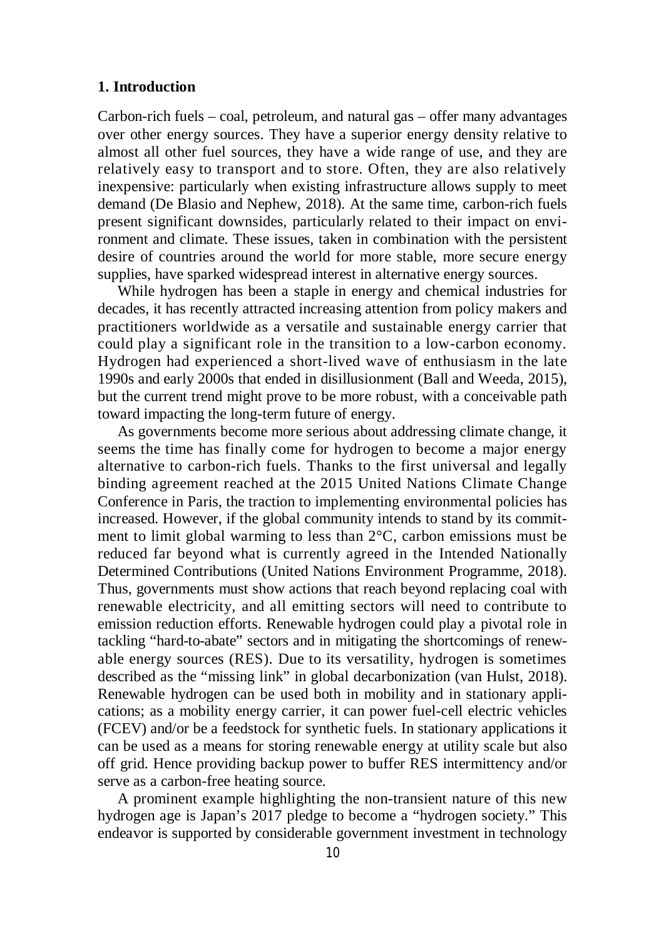### **1. Introduction**

Carbon-rich fuels – coal, petroleum, and natural gas – offer many advantages over other energy sources. They have a superior energy density relative to almost all other fuel sources, they have a wide range of use, and they are relatively easy to transport and to store. Often, they are also relatively inexpensive: particularly when existing infrastructure allows supply to meet demand (De Blasio and Nephew, 2018). At the same time, carbon-rich fuels present significant downsides, particularly related to their impact on environment and climate. These issues, taken in combination with the persistent desire of countries around the world for more stable, more secure energy supplies, have sparked widespread interest in alternative energy sources.

While hydrogen has been a staple in energy and chemical industries for decades, it has recently attracted increasing attention from policy makers and practitioners worldwide as a versatile and sustainable energy carrier that could play a significant role in the transition to a low-carbon economy. Hydrogen had experienced a short-lived wave of enthusiasm in the late 1990s and early 2000s that ended in disillusionment (Ball and Weeda, 2015), but the current trend might prove to be more robust, with a conceivable path toward impacting the long-term future of energy.

As governments become more serious about addressing climate change, it seems the time has finally come for hydrogen to become a major energy alternative to carbon-rich fuels. Thanks to the first universal and legally binding agreement reached at the 2015 United Nations Climate Change Conference in Paris, the traction to implementing environmental policies has increased. However, if the global community intends to stand by its commitment to limit global warming to less than 2°C, carbon emissions must be reduced far beyond what is currently agreed in the Intended Nationally Determined Contributions (United Nations Environment Programme, 2018). Thus, governments must show actions that reach beyond replacing coal with renewable electricity, and all emitting sectors will need to contribute to emission reduction efforts. Renewable hydrogen could play a pivotal role in tackling "hard-to-abate" sectors and in mitigating the shortcomings of renewable energy sources (RES). Due to its versatility, hydrogen is sometimes described as the "missing link" in global decarbonization (van Hulst, 2018). Renewable hydrogen can be used both in mobility and in stationary applications; as a mobility energy carrier, it can power fuel-cell electric vehicles (FCEV) and/or be a feedstock for synthetic fuels. In stationary applications it can be used as a means for storing renewable energy at utility scale but also off grid. Hence providing backup power to buffer RES intermittency and/or serve as a carbon-free heating source.

A prominent example highlighting the non-transient nature of this new hydrogen age is Japan's 2017 pledge to become a "hydrogen society." This endeavor is supported by considerable government investment in technology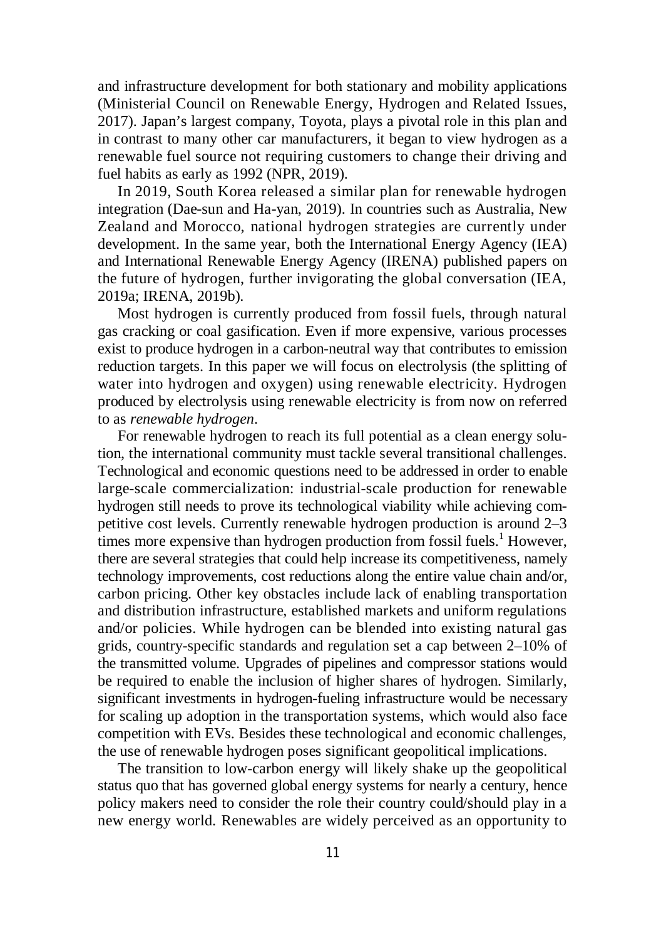and infrastructure development for both stationary and mobility applications (Ministerial Council on Renewable Energy, Hydrogen and Related Issues, 2017). Japan's largest company, Toyota, plays a pivotal role in this plan and in contrast to many other car manufacturers, it began to view hydrogen as a renewable fuel source not requiring customers to change their driving and fuel habits as early as 1992 (NPR, 2019).

In 2019, South Korea released a similar plan for renewable hydrogen integration (Dae-sun and Ha-yan, 2019). In countries such as Australia, New Zealand and Morocco, national hydrogen strategies are currently under development. In the same year, both the International Energy Agency (IEA) and International Renewable Energy Agency (IRENA) published papers on the future of hydrogen, further invigorating the global conversation (IEA, 2019a; IRENA, 2019b).

Most hydrogen is currently produced from fossil fuels, through natural gas cracking or coal gasification. Even if more expensive, various processes exist to produce hydrogen in a carbon-neutral way that contributes to emission reduction targets. In this paper we will focus on electrolysis (the splitting of water into hydrogen and oxygen) using renewable electricity. Hydrogen produced by electrolysis using renewable electricity is from now on referred to as *renewable hydrogen*.

For renewable hydrogen to reach its full potential as a clean energy solution, the international community must tackle several transitional challenges. Technological and economic questions need to be addressed in order to enable large-scale commercialization: industrial-scale production for renewable hydrogen still needs to prove its technological viability while achieving competitive cost levels. Currently renewable hydrogen production is around 2–3 times more expensive than hydrogen production from fossil fuels.<sup>1</sup> However, there are several strategies that could help increase its competitiveness, namely technology improvements, cost reductions along the entire value chain and/or, carbon pricing. Other key obstacles include lack of enabling transportation and distribution infrastructure, established markets and uniform regulations and/or policies. While hydrogen can be blended into existing natural gas grids, country-specific standards and regulation set a cap between 2–10% of the transmitted volume. Upgrades of pipelines and compressor stations would be required to enable the inclusion of higher shares of hydrogen. Similarly, significant investments in hydrogen-fueling infrastructure would be necessary for scaling up adoption in the transportation systems, which would also face competition with EVs. Besides these technological and economic challenges, the use of renewable hydrogen poses significant geopolitical implications.

The transition to low-carbon energy will likely shake up the geopolitical status quo that has governed global energy systems for nearly a century, hence policy makers need to consider the role their country could/should play in a new energy world. Renewables are widely perceived as an opportunity to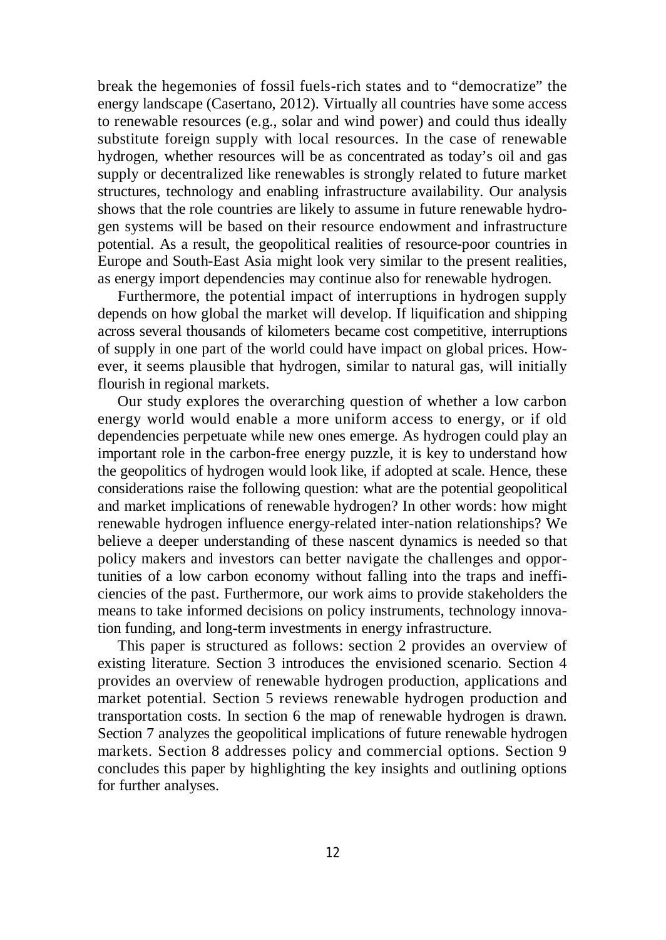break the hegemonies of fossil fuels-rich states and to "democratize" the energy landscape (Casertano, 2012). Virtually all countries have some access to renewable resources (e.g., solar and wind power) and could thus ideally substitute foreign supply with local resources. In the case of renewable hydrogen, whether resources will be as concentrated as today's oil and gas supply or decentralized like renewables is strongly related to future market structures, technology and enabling infrastructure availability. Our analysis shows that the role countries are likely to assume in future renewable hydrogen systems will be based on their resource endowment and infrastructure potential. As a result, the geopolitical realities of resource-poor countries in Europe and South-East Asia might look very similar to the present realities, as energy import dependencies may continue also for renewable hydrogen.

Furthermore, the potential impact of interruptions in hydrogen supply depends on how global the market will develop. If liquification and shipping across several thousands of kilometers became cost competitive, interruptions of supply in one part of the world could have impact on global prices. However, it seems plausible that hydrogen, similar to natural gas, will initially flourish in regional markets.

Our study explores the overarching question of whether a low carbon energy world would enable a more uniform access to energy, or if old dependencies perpetuate while new ones emerge. As hydrogen could play an important role in the carbon-free energy puzzle, it is key to understand how the geopolitics of hydrogen would look like, if adopted at scale. Hence, these considerations raise the following question: what are the potential geopolitical and market implications of renewable hydrogen? In other words: how might renewable hydrogen influence energy-related inter-nation relationships? We believe a deeper understanding of these nascent dynamics is needed so that policy makers and investors can better navigate the challenges and opportunities of a low carbon economy without falling into the traps and inefficiencies of the past. Furthermore, our work aims to provide stakeholders the means to take informed decisions on policy instruments, technology innovation funding, and long-term investments in energy infrastructure.

This paper is structured as follows: section 2 provides an overview of existing literature. Section 3 introduces the envisioned scenario. Section 4 provides an overview of renewable hydrogen production, applications and market potential. Section 5 reviews renewable hydrogen production and transportation costs. In section 6 the map of renewable hydrogen is drawn. Section 7 analyzes the geopolitical implications of future renewable hydrogen markets. Section 8 addresses policy and commercial options. Section 9 concludes this paper by highlighting the key insights and outlining options for further analyses.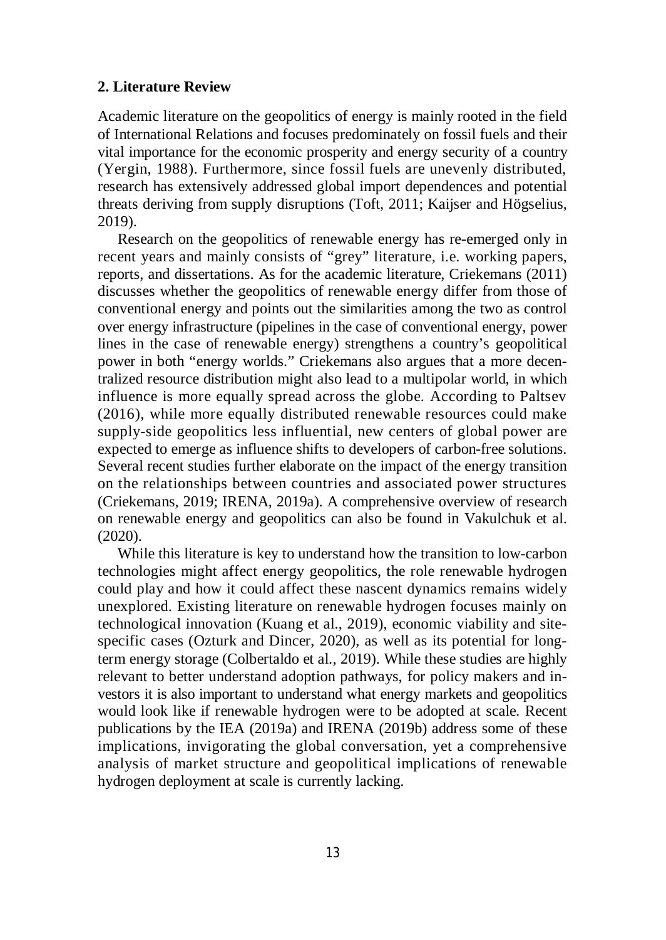#### **2. Literature Review**

Academic literature on the geopolitics of energy is mainly rooted in the field of International Relations and focuses predominately on fossil fuels and their vital importance for the economic prosperity and energy security of a country (Yergin, 1988). Furthermore, since fossil fuels are unevenly distributed, research has extensively addressed global import dependences and potential threats deriving from supply disruptions (Toft, 2011; Kaijser and Högselius, 2019).

Research on the geopolitics of renewable energy has re-emerged only in recent years and mainly consists of "grey" literature, i.e. working papers, reports, and dissertations. As for the academic literature, Criekemans (2011) discusses whether the geopolitics of renewable energy differ from those of conventional energy and points out the similarities among the two as control over energy infrastructure (pipelines in the case of conventional energy, power lines in the case of renewable energy) strengthens a country's geopolitical power in both "energy worlds." Criekemans also argues that a more decentralized resource distribution might also lead to a multipolar world, in which influence is more equally spread across the globe. According to Paltsev (2016), while more equally distributed renewable resources could make supply-side geopolitics less influential, new centers of global power are expected to emerge as influence shifts to developers of carbon-free solutions. Several recent studies further elaborate on the impact of the energy transition on the relationships between countries and associated power structures (Criekemans, 2019; IRENA, 2019a). A comprehensive overview of research on renewable energy and geopolitics can also be found in Vakulchuk et al. (2020).

While this literature is key to understand how the transition to low-carbon technologies might affect energy geopolitics, the role renewable hydrogen could play and how it could affect these nascent dynamics remains widely unexplored. Existing literature on renewable hydrogen focuses mainly on technological innovation (Kuang et al., 2019), economic viability and sitespecific cases (Ozturk and Dincer, 2020), as well as its potential for longterm energy storage (Colbertaldo et al., 2019). While these studies are highly relevant to better understand adoption pathways, for policy makers and investors it is also important to understand what energy markets and geopolitics would look like if renewable hydrogen were to be adopted at scale. Recent publications by the IEA (2019a) and IRENA (2019b) address some of these implications, invigorating the global conversation, yet a comprehensive analysis of market structure and geopolitical implications of renewable hydrogen deployment at scale is currently lacking.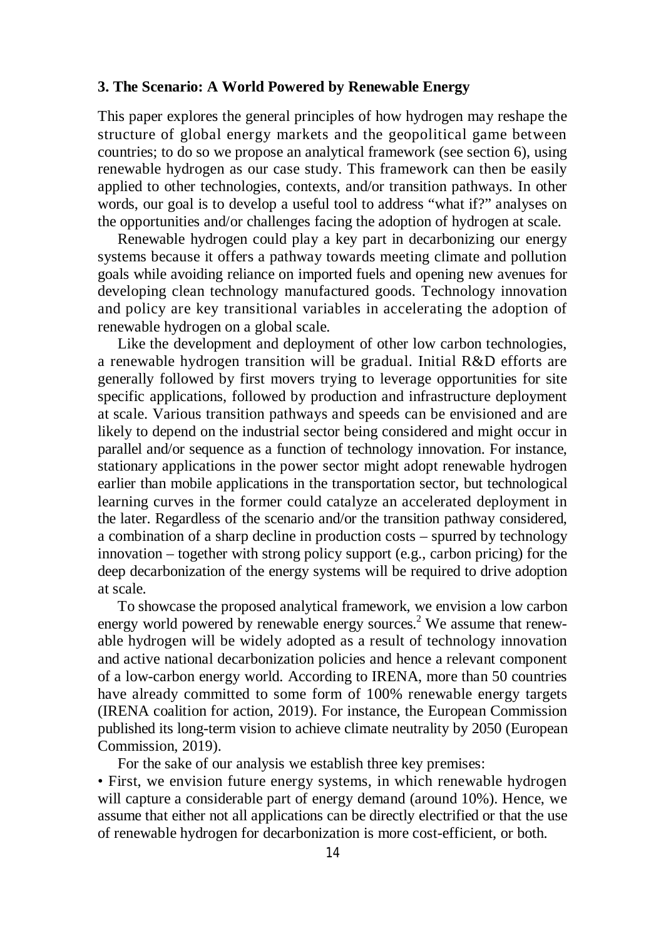### **3. The Scenario: A World Powered by Renewable Energy**

This paper explores the general principles of how hydrogen may reshape the structure of global energy markets and the geopolitical game between countries; to do so we propose an analytical framework (see section 6), using renewable hydrogen as our case study. This framework can then be easily applied to other technologies, contexts, and/or transition pathways. In other words, our goal is to develop a useful tool to address "what if?" analyses on the opportunities and/or challenges facing the adoption of hydrogen at scale.

Renewable hydrogen could play a key part in decarbonizing our energy systems because it offers a pathway towards meeting climate and pollution goals while avoiding reliance on imported fuels and opening new avenues for developing clean technology manufactured goods. Technology innovation and policy are key transitional variables in accelerating the adoption of renewable hydrogen on a global scale.

Like the development and deployment of other low carbon technologies, a renewable hydrogen transition will be gradual. Initial R&D efforts are generally followed by first movers trying to leverage opportunities for site specific applications, followed by production and infrastructure deployment at scale. Various transition pathways and speeds can be envisioned and are likely to depend on the industrial sector being considered and might occur in parallel and/or sequence as a function of technology innovation. For instance, stationary applications in the power sector might adopt renewable hydrogen earlier than mobile applications in the transportation sector, but technological learning curves in the former could catalyze an accelerated deployment in the later. Regardless of the scenario and/or the transition pathway considered, a combination of a sharp decline in production costs – spurred by technology innovation – together with strong policy support (e.g., carbon pricing) for the deep decarbonization of the energy systems will be required to drive adoption at scale.

To showcase the proposed analytical framework, we envision a low carbon energy world powered by renewable energy sources.<sup>2</sup> We assume that renewable hydrogen will be widely adopted as a result of technology innovation and active national decarbonization policies and hence a relevant component of a low-carbon energy world. According to IRENA, more than 50 countries have already committed to some form of 100% renewable energy targets (IRENA coalition for action, 2019). For instance, the European Commission published its long-term vision to achieve climate neutrality by 2050 (European Commission, 2019).

For the sake of our analysis we establish three key premises:

• First, we envision future energy systems, in which renewable hydrogen will capture a considerable part of energy demand (around 10%). Hence, we assume that either not all applications can be directly electrified or that the use of renewable hydrogen for decarbonization is more cost-efficient, or both.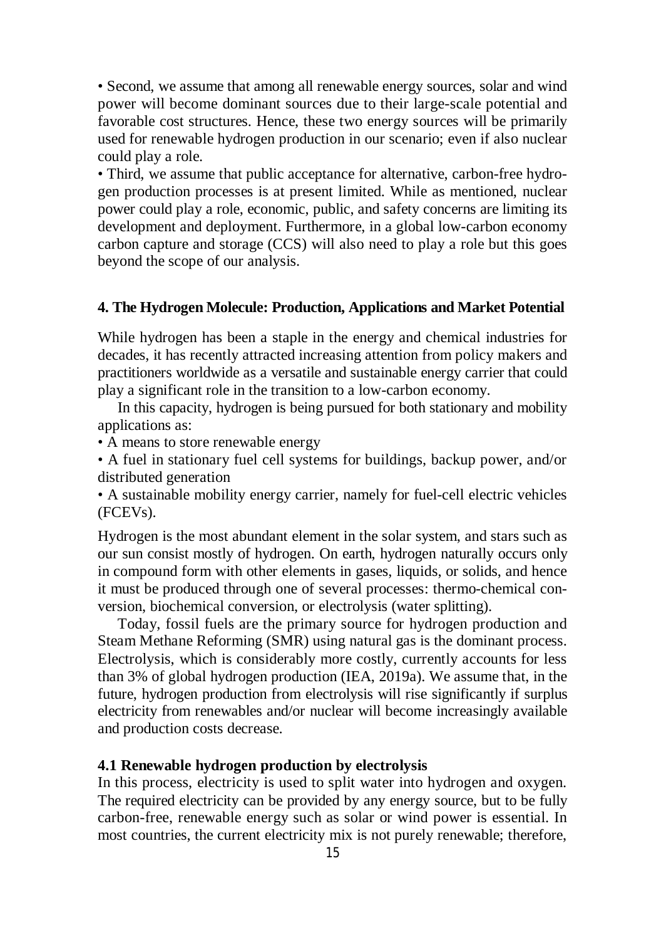• Second, we assume that among all renewable energy sources, solar and wind power will become dominant sources due to their large-scale potential and favorable cost structures. Hence, these two energy sources will be primarily used for renewable hydrogen production in our scenario; even if also nuclear could play a role.

• Third, we assume that public acceptance for alternative, carbon-free hydrogen production processes is at present limited. While as mentioned, nuclear power could play a role, economic, public, and safety concerns are limiting its development and deployment. Furthermore, in a global low-carbon economy carbon capture and storage (CCS) will also need to play a role but this goes beyond the scope of our analysis.

### **4. The Hydrogen Molecule: Production, Applications and Market Potential**

While hydrogen has been a staple in the energy and chemical industries for decades, it has recently attracted increasing attention from policy makers and practitioners worldwide as a versatile and sustainable energy carrier that could play a significant role in the transition to a low-carbon economy.

In this capacity, hydrogen is being pursued for both stationary and mobility applications as:

• A means to store renewable energy

• A fuel in stationary fuel cell systems for buildings, backup power, and/or distributed generation

• A sustainable mobility energy carrier, namely for fuel-cell electric vehicles (FCEVs).

Hydrogen is the most abundant element in the solar system, and stars such as our sun consist mostly of hydrogen. On earth, hydrogen naturally occurs only in compound form with other elements in gases, liquids, or solids, and hence it must be produced through one of several processes: thermo-chemical conversion, biochemical conversion, or electrolysis (water splitting).

Today, fossil fuels are the primary source for hydrogen production and Steam Methane Reforming (SMR) using natural gas is the dominant process. Electrolysis, which is considerably more costly, currently accounts for less than 3% of global hydrogen production (IEA, 2019a). We assume that, in the future, hydrogen production from electrolysis will rise significantly if surplus electricity from renewables and/or nuclear will become increasingly available and production costs decrease.

#### **4.1 Renewable hydrogen production by electrolysis**

In this process, electricity is used to split water into hydrogen and oxygen. The required electricity can be provided by any energy source, but to be fully carbon-free, renewable energy such as solar or wind power is essential. In most countries, the current electricity mix is not purely renewable; therefore,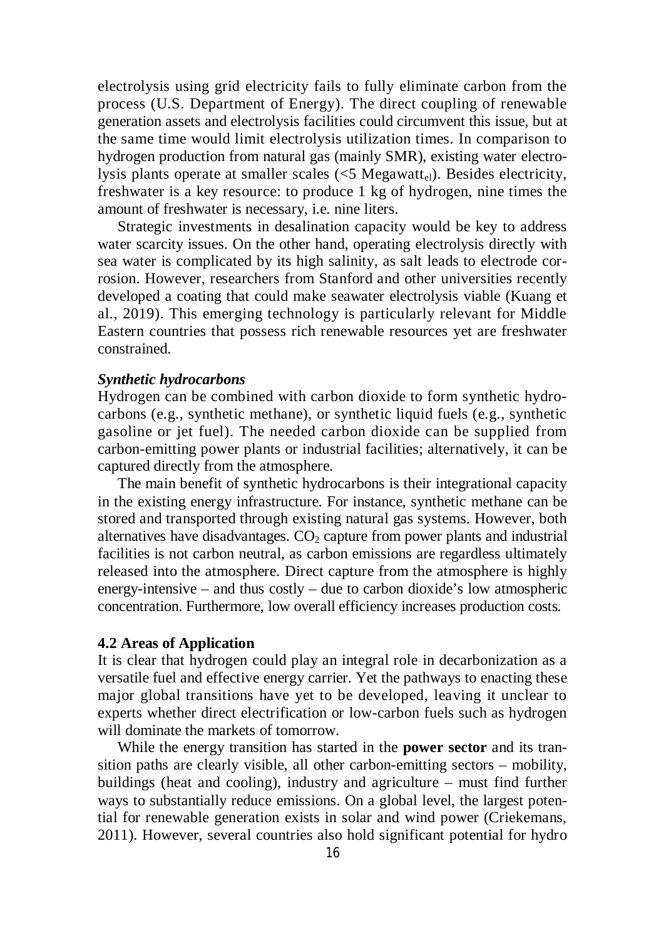electrolysis using grid electricity fails to fully eliminate carbon from the process (U.S. Department of Energy). The direct coupling of renewable generation assets and electrolysis facilities could circumvent this issue, but at the same time would limit electrolysis utilization times. In comparison to hydrogen production from natural gas (mainly SMR), existing water electrolysis plants operate at smaller scales  $(<5$  Megawatt<sub>el</sub>). Besides electricity, freshwater is a key resource: to produce 1 kg of hydrogen, nine times the amount of freshwater is necessary, i.e. nine liters.

Strategic investments in desalination capacity would be key to address water scarcity issues. On the other hand, operating electrolysis directly with sea water is complicated by its high salinity, as salt leads to electrode corrosion. However, researchers from Stanford and other universities recently developed a coating that could make seawater electrolysis viable (Kuang et al., 2019). This emerging technology is particularly relevant for Middle Eastern countries that possess rich renewable resources yet are freshwater constrained.

#### *Synthetic hydrocarbons*

Hydrogen can be combined with carbon dioxide to form synthetic hydrocarbons (e.g., synthetic methane), or synthetic liquid fuels (e.g., synthetic gasoline or jet fuel). The needed carbon dioxide can be supplied from carbon-emitting power plants or industrial facilities; alternatively, it can be captured directly from the atmosphere.

The main benefit of synthetic hydrocarbons is their integrational capacity in the existing energy infrastructure. For instance, synthetic methane can be stored and transported through existing natural gas systems. However, both alternatives have disadvantages.  $CO<sub>2</sub>$  capture from power plants and industrial facilities is not carbon neutral, as carbon emissions are regardless ultimately released into the atmosphere. Direct capture from the atmosphere is highly energy-intensive – and thus costly – due to carbon dioxide's low atmospheric concentration. Furthermore, low overall efficiency increases production costs.

#### **4.2 Areas of Application**

It is clear that hydrogen could play an integral role in decarbonization as a versatile fuel and effective energy carrier. Yet the pathways to enacting these major global transitions have yet to be developed, leaving it unclear to experts whether direct electrification or low-carbon fuels such as hydrogen will dominate the markets of tomorrow.

While the energy transition has started in the **power sector** and its transition paths are clearly visible, all other carbon-emitting sectors – mobility, buildings (heat and cooling), industry and agriculture – must find further ways to substantially reduce emissions. On a global level, the largest potential for renewable generation exists in solar and wind power (Criekemans, 2011). However, several countries also hold significant potential for hydro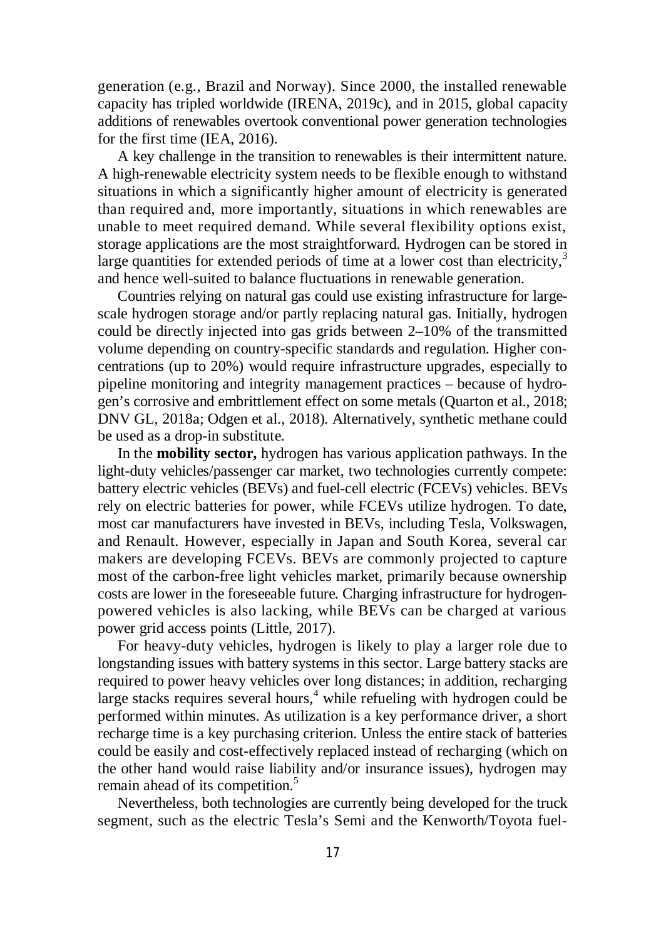generation (e.g., Brazil and Norway). Since 2000, the installed renewable capacity has tripled worldwide (IRENA, 2019c), and in 2015, global capacity additions of renewables overtook conventional power generation technologies for the first time (IEA, 2016).

A key challenge in the transition to renewables is their intermittent nature. A high-renewable electricity system needs to be flexible enough to withstand situations in which a significantly higher amount of electricity is generated than required and, more importantly, situations in which renewables are unable to meet required demand. While several flexibility options exist, storage applications are the most straightforward. Hydrogen can be stored in large quantities for extended periods of time at a lower cost than electricity, $3$ and hence well-suited to balance fluctuations in renewable generation.

Countries relying on natural gas could use existing infrastructure for largescale hydrogen storage and/or partly replacing natural gas. Initially, hydrogen could be directly injected into gas grids between 2–10% of the transmitted volume depending on country-specific standards and regulation. Higher concentrations (up to 20%) would require infrastructure upgrades, especially to pipeline monitoring and integrity management practices – because of hydrogen's corrosive and embrittlement effect on some metals (Quarton et al., 2018; DNV GL, 2018a; Odgen et al., 2018). Alternatively, synthetic methane could be used as a drop-in substitute.

In the **mobility sector,** hydrogen has various application pathways. In the light-duty vehicles/passenger car market, two technologies currently compete: battery electric vehicles (BEVs) and fuel-cell electric (FCEVs) vehicles. BEVs rely on electric batteries for power, while FCEVs utilize hydrogen. To date, most car manufacturers have invested in BEVs, including Tesla, Volkswagen, and Renault. However, especially in Japan and South Korea, several car makers are developing FCEVs. BEVs are commonly projected to capture most of the carbon-free light vehicles market, primarily because ownership costs are lower in the foreseeable future. Charging infrastructure for hydrogenpowered vehicles is also lacking, while BEVs can be charged at various power grid access points (Little, 2017).

For heavy-duty vehicles, hydrogen is likely to play a larger role due to longstanding issues with battery systems in this sector. Large battery stacks are required to power heavy vehicles over long distances; in addition, recharging large stacks requires several hours,<sup>4</sup> while refueling with hydrogen could be performed within minutes. As utilization is a key performance driver, a short recharge time is a key purchasing criterion. Unless the entire stack of batteries could be easily and cost-effectively replaced instead of recharging (which on the other hand would raise liability and/or insurance issues), hydrogen may remain ahead of its competition.<sup>5</sup>

Nevertheless, both technologies are currently being developed for the truck segment, such as the electric Tesla's Semi and the Kenworth/Toyota fuel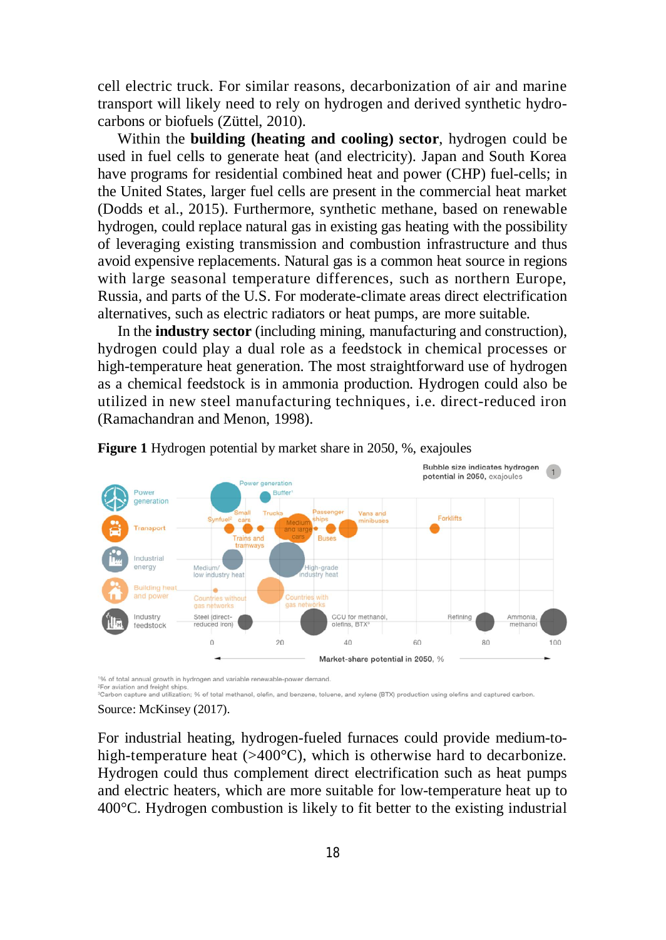cell electric truck. For similar reasons, decarbonization of air and marine transport will likely need to rely on hydrogen and derived synthetic hydrocarbons or biofuels (Züttel, 2010).

Within the **building (heating and cooling) sector**, hydrogen could be used in fuel cells to generate heat (and electricity). Japan and South Korea have programs for residential combined heat and power (CHP) fuel-cells; in the United States, larger fuel cells are present in the commercial heat market (Dodds et al., 2015). Furthermore, synthetic methane, based on renewable hydrogen, could replace natural gas in existing gas heating with the possibility of leveraging existing transmission and combustion infrastructure and thus avoid expensive replacements. Natural gas is a common heat source in regions with large seasonal temperature differences, such as northern Europe, Russia, and parts of the U.S. For moderate-climate areas direct electrification alternatives, such as electric radiators or heat pumps, are more suitable.

In the **industry sector** (including mining, manufacturing and construction), hydrogen could play a dual role as a feedstock in chemical processes or high-temperature heat generation. The most straightforward use of hydrogen as a chemical feedstock is in ammonia production. Hydrogen could also be utilized in new steel manufacturing techniques, i.e. direct-reduced iron (Ramachandran and Menon, 1998).



**Figure 1** Hydrogen potential by market share in 2050, %, exajoules

1% of total annual growth in hydrogen and variable renewable-power demand <sup>2</sup>For aviation and freight ship

<sup>3</sup>Carbon capture and utilization: % of total methanol, olefin, and benzene, toluene, and xylene (BTX) production using olefins and captured carbon.

#### Source: McKinsey (2017).

For industrial heating, hydrogen-fueled furnaces could provide medium-tohigh-temperature heat  $(>400^{\circ}C)$ , which is otherwise hard to decarbonize. Hydrogen could thus complement direct electrification such as heat pumps and electric heaters, which are more suitable for low-temperature heat up to 400°C. Hydrogen combustion is likely to fit better to the existing industrial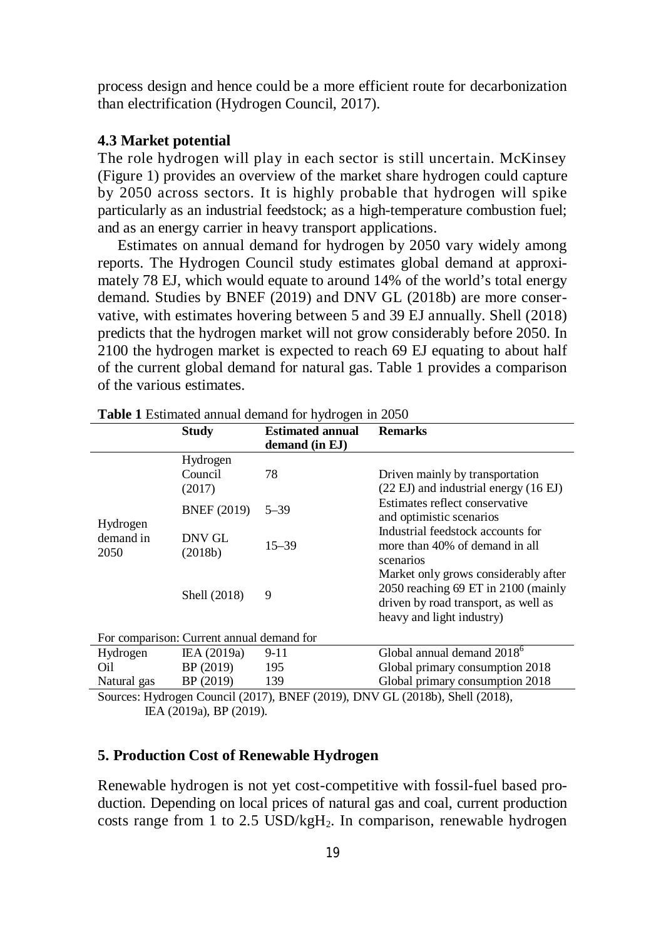process design and hence could be a more efficient route for decarbonization than electrification (Hydrogen Council, 2017).

#### **4.3 Market potential**

The role hydrogen will play in each sector is still uncertain. McKinsey (Figure 1) provides an overview of the market share hydrogen could capture by 2050 across sectors. It is highly probable that hydrogen will spike particularly as an industrial feedstock; as a high-temperature combustion fuel; and as an energy carrier in heavy transport applications.

Estimates on annual demand for hydrogen by 2050 vary widely among reports. The Hydrogen Council study estimates global demand at approximately 78 EJ, which would equate to around 14% of the world's total energy demand. Studies by BNEF (2019) and DNV GL (2018b) are more conservative, with estimates hovering between 5 and 39 EJ annually. Shell (2018) predicts that the hydrogen market will not grow considerably before 2050. In 2100 the hydrogen market is expected to reach 69 EJ equating to about half of the current global demand for natural gas. Table 1 provides a comparison of the various estimates.

|                                                                                | <b>Study</b>                  | <b>Estimated annual</b><br>demand (in EJ) | <b>Remarks</b>                                                                                                                                   |  |  |  |  |
|--------------------------------------------------------------------------------|-------------------------------|-------------------------------------------|--------------------------------------------------------------------------------------------------------------------------------------------------|--|--|--|--|
| Hydrogen<br>demand in<br>2050                                                  | Hydrogen<br>Council<br>(2017) | 78                                        | Driven mainly by transportation<br>(22 EJ) and industrial energy (16 EJ)                                                                         |  |  |  |  |
|                                                                                | <b>BNEF</b> (2019)            | $5 - 39$                                  | Estimates reflect conservative<br>and optimistic scenarios<br>Industrial feedstock accounts for<br>more than 40% of demand in all<br>scenarios   |  |  |  |  |
|                                                                                | DNV GL<br>(2018b)             | $15 - 39$                                 |                                                                                                                                                  |  |  |  |  |
|                                                                                | Shell (2018)                  | 9                                         | Market only grows considerably after<br>2050 reaching 69 ET in 2100 (mainly<br>driven by road transport, as well as<br>heavy and light industry) |  |  |  |  |
| For comparison: Current annual demand for                                      |                               |                                           |                                                                                                                                                  |  |  |  |  |
| Hydrogen                                                                       | IEA (2019a)                   | $9 - 11$                                  | Global annual demand 2018 <sup>6</sup>                                                                                                           |  |  |  |  |
| Oil                                                                            | BP (2019)                     | 195                                       | Global primary consumption 2018                                                                                                                  |  |  |  |  |
| Natural gas                                                                    | BP (2019)                     | 139                                       | Global primary consumption 2018                                                                                                                  |  |  |  |  |
| $Source: Hydrogen Council (2017) RNEE (2019)$<br>$DNW$ GI (2018b) Shell (2018) |                               |                                           |                                                                                                                                                  |  |  |  |  |

**Table 1** Estimated annual demand for hydrogen in 2050

(drogen Council (2017), BNEF (2019), DNV GL (2018b), Shell (2018), IEA (2019a), BP (2019).

### **5. Production Cost of Renewable Hydrogen**

Renewable hydrogen is not yet cost-competitive with fossil-fuel based production. Depending on local prices of natural gas and coal, current production costs range from 1 to 2.5 USD/kg $H_2$ . In comparison, renewable hydrogen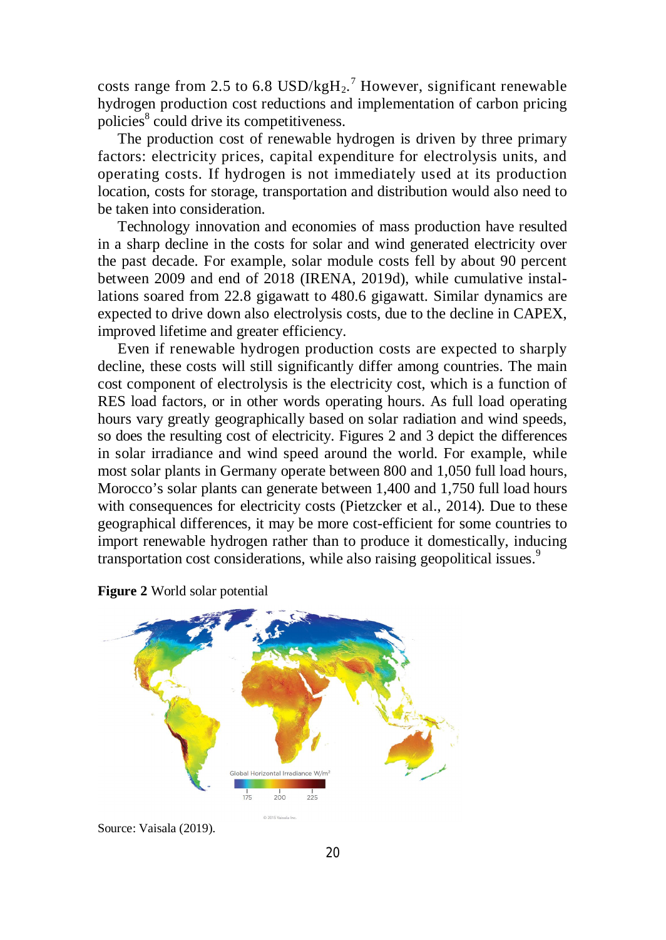costs range from 2.5 to 6.8  $USD/kgH_2$ .<sup>7</sup> However, significant renewable hydrogen production cost reductions and implementation of carbon pricing policies<sup>8</sup> could drive its competitiveness.

The production cost of renewable hydrogen is driven by three primary factors: electricity prices, capital expenditure for electrolysis units, and operating costs. If hydrogen is not immediately used at its production location, costs for storage, transportation and distribution would also need to be taken into consideration.

Technology innovation and economies of mass production have resulted in a sharp decline in the costs for solar and wind generated electricity over the past decade. For example, solar module costs fell by about 90 percent between 2009 and end of 2018 (IRENA, 2019d), while cumulative installations soared from 22.8 gigawatt to 480.6 gigawatt. Similar dynamics are expected to drive down also electrolysis costs, due to the decline in CAPEX, improved lifetime and greater efficiency.

Even if renewable hydrogen production costs are expected to sharply decline, these costs will still significantly differ among countries. The main cost component of electrolysis is the electricity cost, which is a function of RES load factors, or in other words operating hours. As full load operating hours vary greatly geographically based on solar radiation and wind speeds, so does the resulting cost of electricity. Figures 2 and 3 depict the differences in solar irradiance and wind speed around the world. For example, while most solar plants in Germany operate between 800 and 1,050 full load hours, Morocco's solar plants can generate between 1,400 and 1,750 full load hours with consequences for electricity costs (Pietzcker et al., 2014). Due to these geographical differences, it may be more cost-efficient for some countries to import renewable hydrogen rather than to produce it domestically, inducing transportation cost considerations, while also raising geopolitical issues.<sup>9</sup>





Source: Vaisala (2019).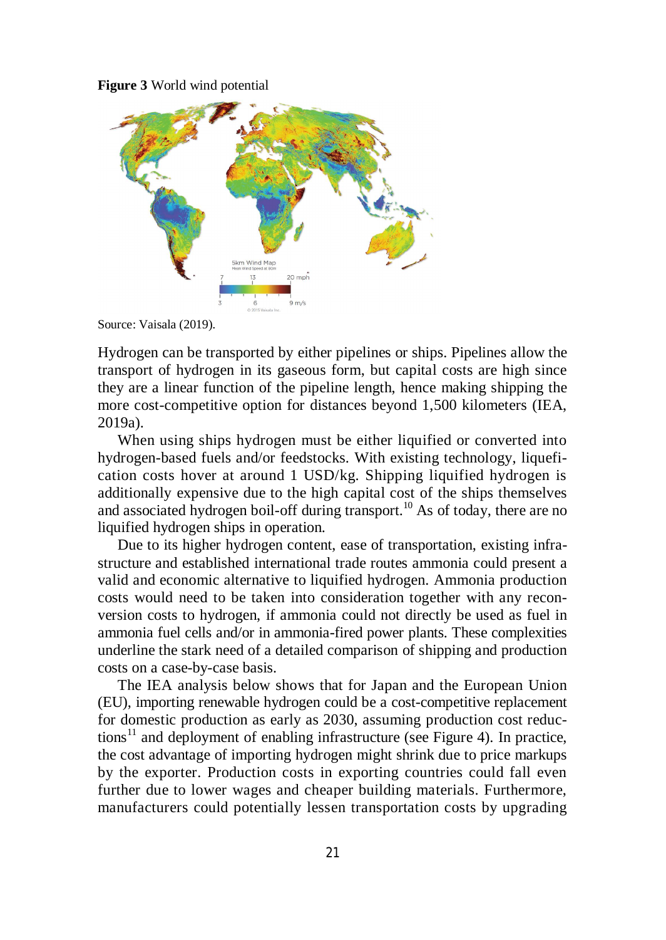**Figure 3** World wind potential



Source: Vaisala (2019).

Hydrogen can be transported by either pipelines or ships. Pipelines allow the transport of hydrogen in its gaseous form, but capital costs are high since they are a linear function of the pipeline length, hence making shipping the more cost-competitive option for distances beyond 1,500 kilometers (IEA, 2019a).

When using ships hydrogen must be either liquified or converted into hydrogen-based fuels and/or feedstocks. With existing technology, liquefication costs hover at around 1 USD/kg. Shipping liquified hydrogen is additionally expensive due to the high capital cost of the ships themselves and associated hydrogen boil-off during transport.<sup>10</sup> As of today, there are no liquified hydrogen ships in operation.

Due to its higher hydrogen content, ease of transportation, existing infrastructure and established international trade routes ammonia could present a valid and economic alternative to liquified hydrogen. Ammonia production costs would need to be taken into consideration together with any reconversion costs to hydrogen, if ammonia could not directly be used as fuel in ammonia fuel cells and/or in ammonia-fired power plants. These complexities underline the stark need of a detailed comparison of shipping and production costs on a case-by-case basis.

The IEA analysis below shows that for Japan and the European Union (EU), importing renewable hydrogen could be a cost-competitive replacement for domestic production as early as 2030, assuming production cost reduc $tions<sup>11</sup>$  and deployment of enabling infrastructure (see Figure 4). In practice, the cost advantage of importing hydrogen might shrink due to price markups by the exporter. Production costs in exporting countries could fall even further due to lower wages and cheaper building materials. Furthermore, manufacturers could potentially lessen transportation costs by upgrading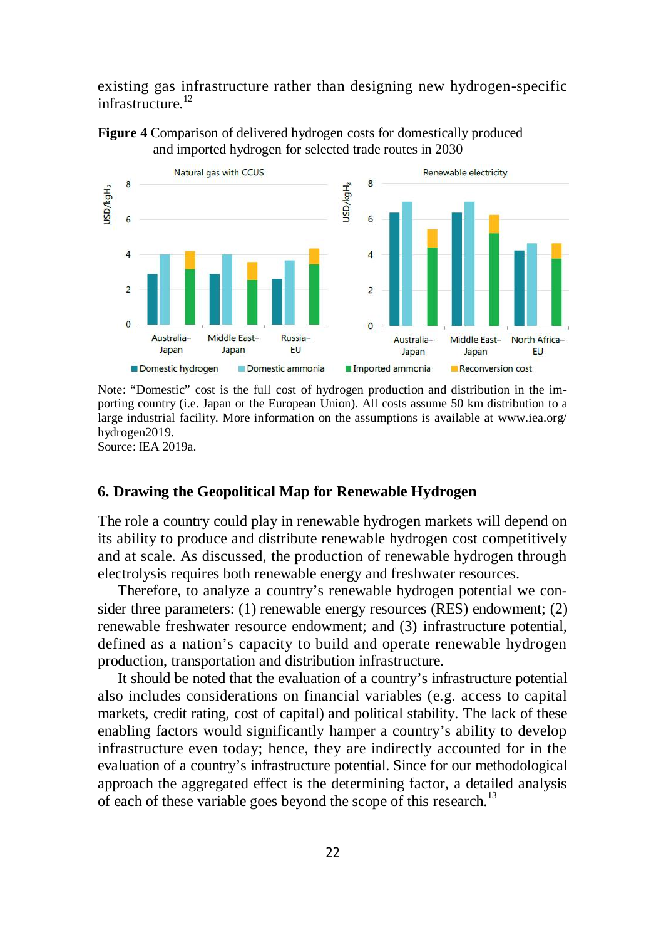existing gas infrastructure rather than designing new hydrogen-specific infrastructure.<sup>12</sup>



**Figure 4** Comparison of delivered hydrogen costs for domestically produced and imported hydrogen for selected trade routes in 2030

Note: "Domestic" cost is the full cost of hydrogen production and distribution in the importing country (i.e. Japan or the European Union). All costs assume 50 km distribution to a large industrial facility. More information on the assumptions is available at [www.iea.org/](http://www.iea.org/) hydrogen2019.

Source: IEA 2019a.

#### **6. Drawing the Geopolitical Map for Renewable Hydrogen**

The role a country could play in renewable hydrogen markets will depend on its ability to produce and distribute renewable hydrogen cost competitively and at scale. As discussed, the production of renewable hydrogen through electrolysis requires both renewable energy and freshwater resources.

Therefore, to analyze a country's renewable hydrogen potential we consider three parameters: (1) renewable energy resources (RES) endowment; (2) renewable freshwater resource endowment; and (3) infrastructure potential, defined as a nation's capacity to build and operate renewable hydrogen production, transportation and distribution infrastructure.

It should be noted that the evaluation of a country's infrastructure potential also includes considerations on financial variables (e.g. access to capital markets, credit rating, cost of capital) and political stability. The lack of these enabling factors would significantly hamper a country's ability to develop infrastructure even today; hence, they are indirectly accounted for in the evaluation of a country's infrastructure potential. Since for our methodological approach the aggregated effect is the determining factor, a detailed analysis of each of these variable goes beyond the scope of this research.<sup>13</sup>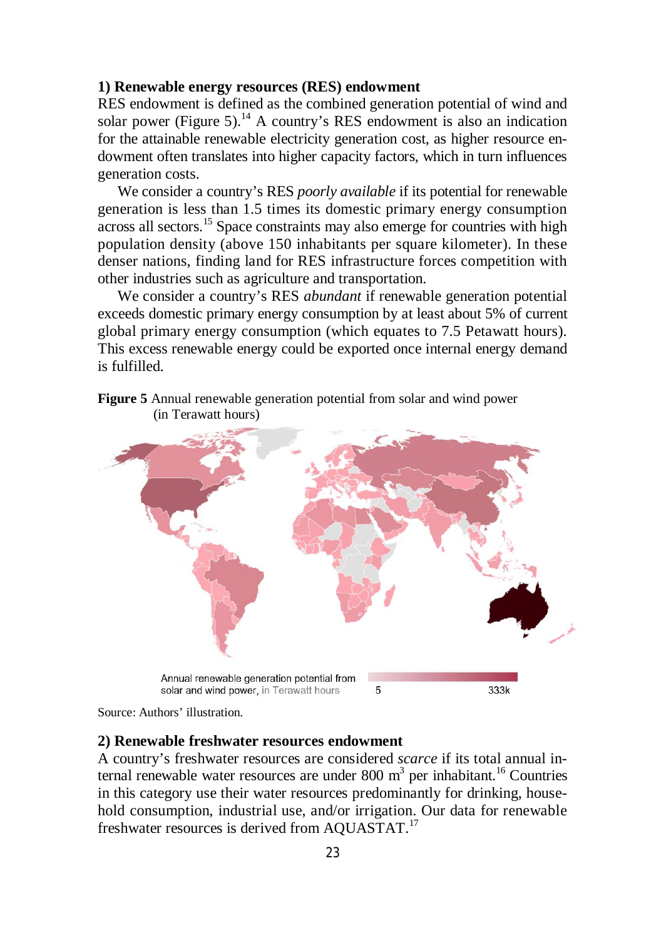#### **1) Renewable energy resources (RES) endowment**

RES endowment is defined as the combined generation potential of wind and solar power (Figure 5).<sup>14</sup> A country's RES endowment is also an indication for the attainable renewable electricity generation cost, as higher resource endowment often translates into higher capacity factors, which in turn influences generation costs.

We consider a country's RES *poorly available* if its potential for renewable generation is less than 1.5 times its domestic primary energy consumption across all sectors.<sup>15</sup> Space constraints may also emerge for countries with high population density (above 150 inhabitants per square kilometer). In these denser nations, finding land for RES infrastructure forces competition with other industries such as agriculture and transportation.

We consider a country's RES *abundant* if renewable generation potential exceeds domestic primary energy consumption by at least about 5% of current global primary energy consumption (which equates to 7.5 Petawatt hours). This excess renewable energy could be exported once internal energy demand is fulfilled.



**Figure 5** Annual renewable generation potential from solar and wind power (in Terawatt hours)

Source: Authors' illustration.

# **2) Renewable freshwater resources endowment**

A country's freshwater resources are considered *scarce* if its total annual internal renewable water resources are under 800 m<sup>3</sup> per inhabitant.<sup>16</sup> Countries in this category use their water resources predominantly for drinking, household consumption, industrial use, and/or irrigation. Our data for renewable freshwater resources is derived from AQUASTAT.<sup>17</sup>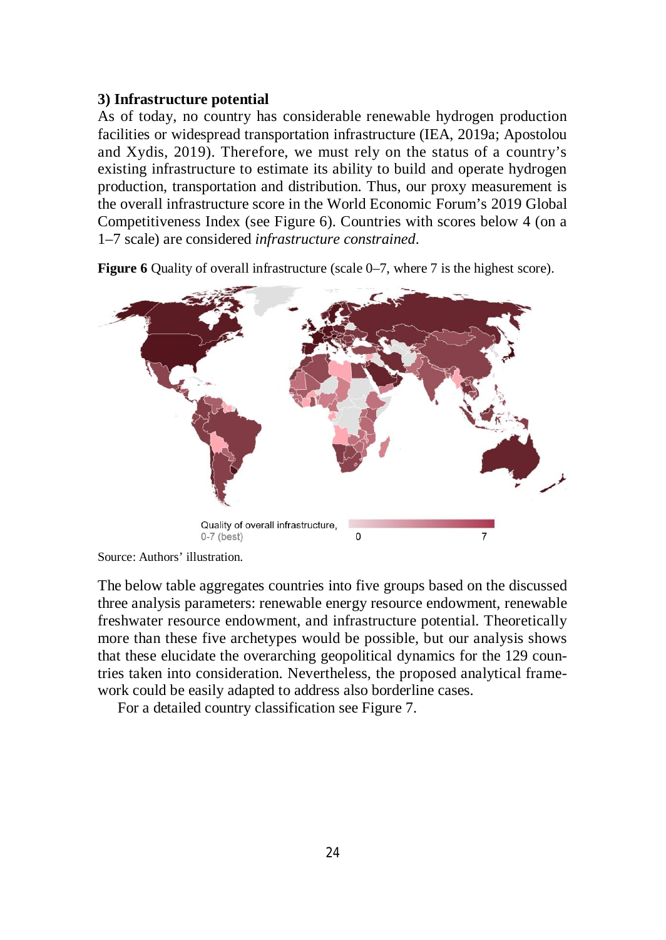### **3) Infrastructure potential**

As of today, no country has considerable renewable hydrogen production facilities or widespread transportation infrastructure (IEA, 2019a; Apostolou and Xydis, 2019). Therefore, we must rely on the status of a country's existing infrastructure to estimate its ability to build and operate hydrogen production, transportation and distribution. Thus, our proxy measurement is the overall infrastructure score in the World Economic Forum's 2019 Global Competitiveness Index (see Figure 6). Countries with scores below 4 (on a 1–7 scale) are considered *infrastructure constrained*.



**Figure 6** Quality of overall infrastructure (scale 0–7, where 7 is the highest score).

The below table aggregates countries into five groups based on the discussed three analysis parameters: renewable energy resource endowment, renewable freshwater resource endowment, and infrastructure potential. Theoretically more than these five archetypes would be possible, but our analysis shows that these elucidate the overarching geopolitical dynamics for the 129 countries taken into consideration. Nevertheless, the proposed analytical framework could be easily adapted to address also borderline cases.

For a detailed country classification see Figure 7.

Source: Authors' illustration.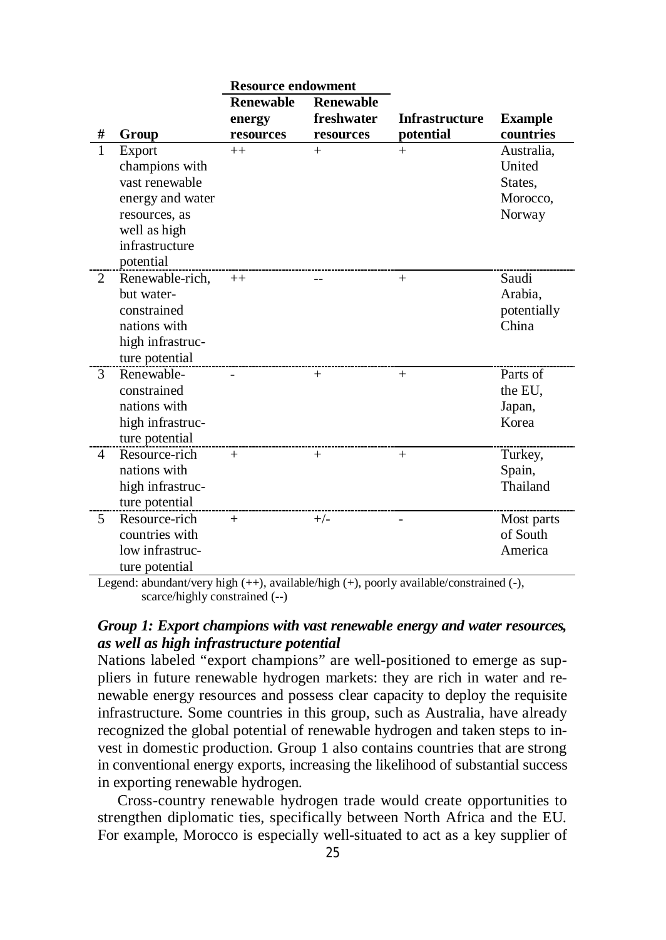|                |                                                                                                                                | <b>Resource endowment</b>  |                                |                       |                                                       |
|----------------|--------------------------------------------------------------------------------------------------------------------------------|----------------------------|--------------------------------|-----------------------|-------------------------------------------------------|
|                |                                                                                                                                | <b>Renewable</b><br>energy | <b>Renewable</b><br>freshwater | <b>Infrastructure</b> | <b>Example</b>                                        |
| #              | Group                                                                                                                          | resources                  | resources                      | potential             | countries                                             |
| $\mathbf{1}$   | Export<br>champions with<br>vast renewable<br>energy and water<br>resources, as<br>well as high<br>infrastructure<br>potential | $++$                       | $+$                            | $+$                   | Australia,<br>United<br>States,<br>Morocco,<br>Norway |
| 2              | Renewable-rich,<br>but water-<br>constrained<br>nations with<br>high infrastruc-<br>ture potential                             | $++$                       |                                | $^{+}$                | Saudi<br>Arabia,<br>potentially<br>China              |
| 3              | Renewable-<br>constrained<br>nations with<br>high infrastruc-<br>ture potential                                                |                            | $+$                            | $^{+}$                | Parts of<br>the EU,<br>Japan,<br>Korea                |
| $\overline{4}$ | Resource-rich<br>nations with<br>high infrastruc-<br>ture potential                                                            | $+$                        | $+$                            | $+$                   | Turkey,<br>Spain,<br>Thailand                         |
| 5              | Resource-rich<br>countries with<br>low infrastruc-<br>ture potential                                                           | $^{+}$                     | $+/-$                          |                       | Most parts<br>of South<br>America                     |

Legend: abundant/very high (++), available/high (+), poorly available/constrained (-), scarce/highly constrained (--)

### *Group 1: Export champions with vast renewable energy and water resources, as well as high infrastructure potential*

Nations labeled "export champions" are well-positioned to emerge as suppliers in future renewable hydrogen markets: they are rich in water and renewable energy resources and possess clear capacity to deploy the requisite infrastructure. Some countries in this group, such as Australia, have already recognized the global potential of renewable hydrogen and taken steps to invest in domestic production. Group 1 also contains countries that are strong in conventional energy exports, increasing the likelihood of substantial success in exporting renewable hydrogen.

Cross-country renewable hydrogen trade would create opportunities to strengthen diplomatic ties, specifically between North Africa and the EU. For example, Morocco is especially well-situated to act as a key supplier of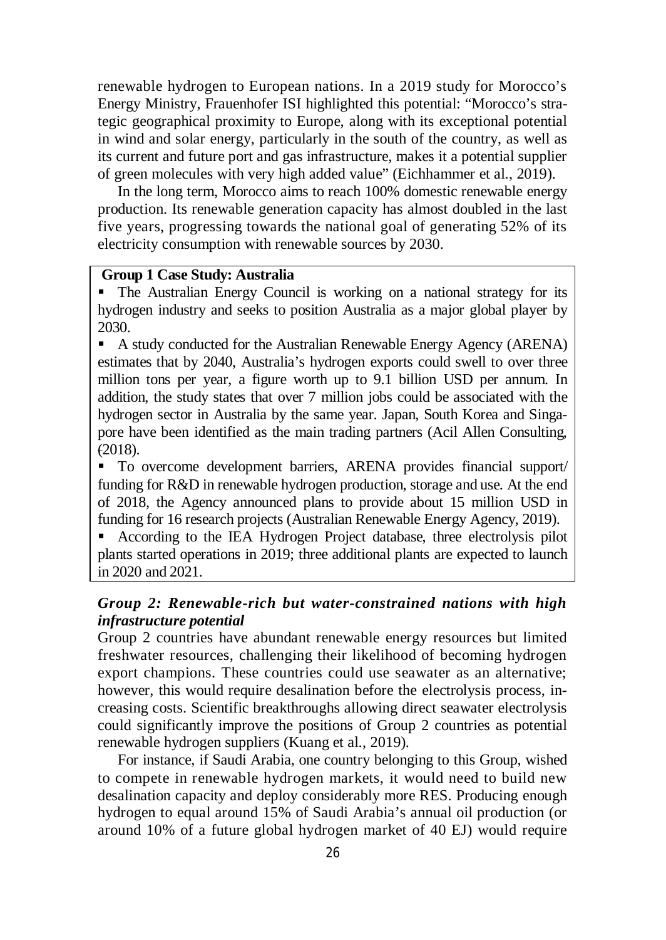renewable hydrogen to European nations. In a 2019 study for Morocco's Energy Ministry, Frauenhofer ISI highlighted this potential: "Morocco's strategic geographical proximity to Europe, along with its exceptional potential in wind and solar energy, particularly in the south of the country, as well as its current and future port and gas infrastructure, makes it a potential supplier of green molecules with very high added value" (Eichhammer et al., 2019).

In the long term, Morocco aims to reach 100% domestic renewable energy production. Its renewable generation capacity has almost doubled in the last five years, progressing towards the national goal of generating 52% of its electricity consumption with renewable sources by 2030.

### **Group 1 Case Study: Australia**

 The Australian Energy Council is working on a national strategy for its hydrogen industry and seeks to position Australia as a major global player by 2030.

 A study conducted for the Australian Renewable Energy Agency (ARENA) estimates that by 2040, Australia's hydrogen exports could swell to over three million tons per year, a figure worth up to 9.1 billion USD per annum. In addition, the study states that over 7 million jobs could be associated with the hydrogen sector in Australia by the same year. Japan, South Korea and Singapore have been identified as the main trading partners (Acil Allen Consulting, (2018).

 To overcome development barriers, ARENA provides financial support/ funding for R&D in renewable hydrogen production, storage and use. At the end of 2018, the Agency announced plans to provide about 15 million USD in funding for 16 research projects (Australian Renewable Energy Agency, 2019).

 According to the IEA Hydrogen Project database, three electrolysis pilot plants started operations in 2019; three additional plants are expected to launch in 2020 and 2021.

# *Group 2: Renewable-rich but water-constrained nations with high infrastructure potential*

Group 2 countries have abundant renewable energy resources but limited freshwater resources, challenging their likelihood of becoming hydrogen export champions. These countries could use seawater as an alternative; however, this would require desalination before the electrolysis process, increasing costs. Scientific breakthroughs allowing direct seawater electrolysis could significantly improve the positions of Group 2 countries as potential renewable hydrogen suppliers (Kuang et al., 2019).

For instance, if Saudi Arabia, one country belonging to this Group, wished to compete in renewable hydrogen markets, it would need to build new desalination capacity and deploy considerably more RES. Producing enough hydrogen to equal around 15% of Saudi Arabia's annual oil production (or around 10% of a future global hydrogen market of 40 EJ) would require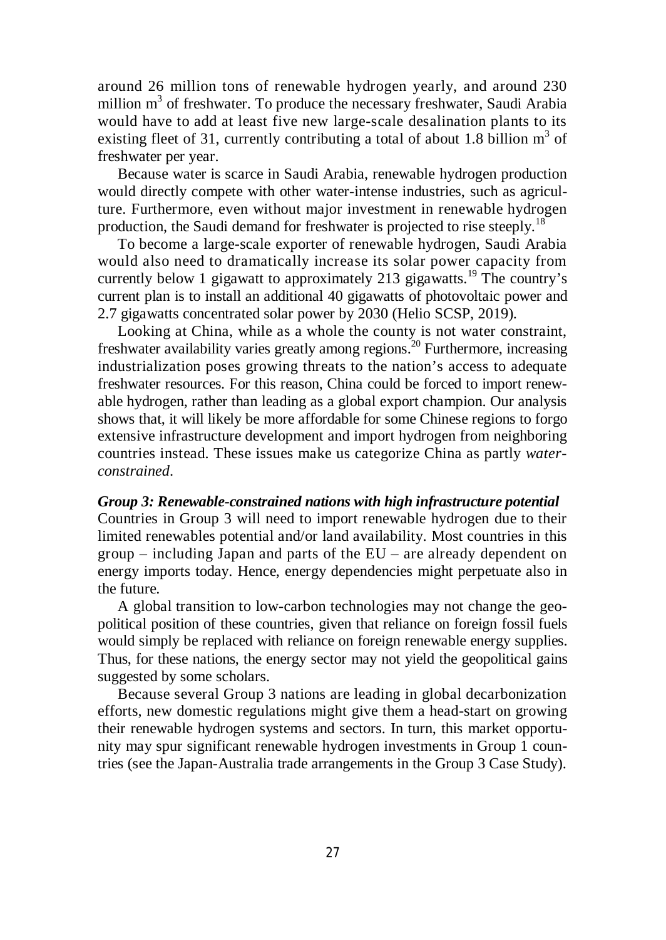around 26 million tons of renewable hydrogen yearly, and around 230 million m<sup>3</sup> of freshwater. To produce the necessary freshwater, Saudi Arabia would have to add at least five new large-scale desalination plants to its existing fleet of 31, currently contributing a total of about 1.8 billion  $m^3$  of freshwater per year.

Because water is scarce in Saudi Arabia, renewable hydrogen production would directly compete with other water-intense industries, such as agriculture. Furthermore, even without major investment in renewable hydrogen production, the Saudi demand for freshwater is projected to rise steeply.<sup>18</sup>

To become a large-scale exporter of renewable hydrogen, Saudi Arabia would also need to dramatically increase its solar power capacity from currently below 1 gigawatt to approximately 213 gigawatts.<sup>19</sup> The country's current plan is to install an additional 40 gigawatts of photovoltaic power and 2.7 gigawatts concentrated solar power by 2030 (Helio SCSP, 2019).

Looking at China, while as a whole the county is not water constraint, freshwater availability varies greatly among regions.<sup>20</sup> Furthermore, increasing industrialization poses growing threats to the nation's access to adequate freshwater resources. For this reason, China could be forced to import renewable hydrogen, rather than leading as a global export champion. Our analysis shows that, it will likely be more affordable for some Chinese regions to forgo extensive infrastructure development and import hydrogen from neighboring countries instead. These issues make us categorize China as partly *waterconstrained*.

*Group 3: Renewable-constrained nations with high infrastructure potential* Countries in Group 3 will need to import renewable hydrogen due to their limited renewables potential and/or land availability. Most countries in this group – including Japan and parts of the EU – are already dependent on energy imports today. Hence, energy dependencies might perpetuate also in the future.

A global transition to low-carbon technologies may not change the geopolitical position of these countries, given that reliance on foreign fossil fuels would simply be replaced with reliance on foreign renewable energy supplies. Thus, for these nations, the energy sector may not yield the geopolitical gains suggested by some scholars.

Because several Group 3 nations are leading in global decarbonization efforts, new domestic regulations might give them a head-start on growing their renewable hydrogen systems and sectors. In turn, this market opportunity may spur significant renewable hydrogen investments in Group 1 countries (see the Japan-Australia trade arrangements in the Group 3 Case Study).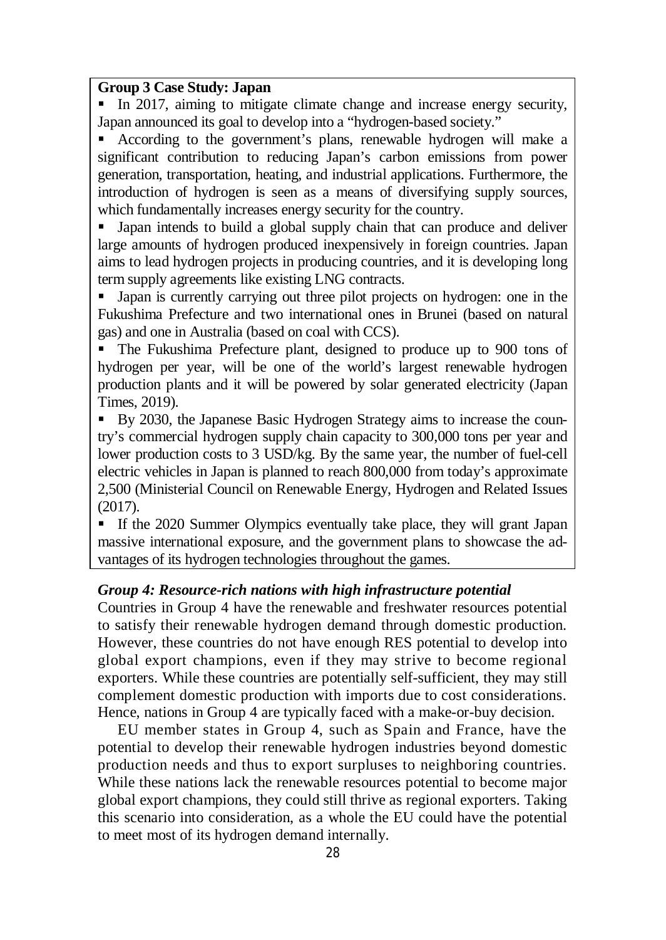### **Group 3 Case Study: Japan**

 In 2017, aiming to mitigate climate change and increase energy security, Japan announced its goal to develop into a "hydrogen-based society."

 According to the government's plans, renewable hydrogen will make a significant contribution to reducing Japan's carbon emissions from power generation, transportation, heating, and industrial applications. Furthermore, the introduction of hydrogen is seen as a means of diversifying supply sources, which fundamentally increases energy security for the country.

 Japan intends to build a global supply chain that can produce and deliver large amounts of hydrogen produced inexpensively in foreign countries. Japan aims to lead hydrogen projects in producing countries, and it is developing long term supply agreements like existing LNG contracts.

If Japan is currently carrying out three pilot projects on hydrogen: one in the Fukushima Prefecture and two international ones in Brunei (based on natural gas) and one in Australia (based on coal with CCS).

 The Fukushima Prefecture plant, designed to produce up to 900 tons of hydrogen per year, will be one of the world's largest renewable hydrogen production plants and it will be powered by solar generated electricity (Japan Times, 2019).

By 2030, the Japanese Basic Hydrogen Strategy aims to increase the country's commercial hydrogen supply chain capacity to 300,000 tons per year and lower production costs to 3 USD/kg. By the same year, the number of fuel-cell electric vehicles in Japan is planned to reach 800,000 from today's approximate 2,500 (Ministerial Council on Renewable Energy, Hydrogen and Related Issues (2017).

 If the 2020 Summer Olympics eventually take place, they will grant Japan massive international exposure, and the government plans to showcase the advantages of its hydrogen technologies throughout the games.

#### *Group 4: Resource-rich nations with high infrastructure potential*

Countries in Group 4 have the renewable and freshwater resources potential to satisfy their renewable hydrogen demand through domestic production. However, these countries do not have enough RES potential to develop into global export champions, even if they may strive to become regional exporters. While these countries are potentially self-sufficient, they may still complement domestic production with imports due to cost considerations. Hence, nations in Group 4 are typically faced with a make-or-buy decision.

EU member states in Group 4, such as Spain and France, have the potential to develop their renewable hydrogen industries beyond domestic production needs and thus to export surpluses to neighboring countries. While these nations lack the renewable resources potential to become major global export champions, they could still thrive as regional exporters. Taking this scenario into consideration, as a whole the EU could have the potential to meet most of its hydrogen demand internally.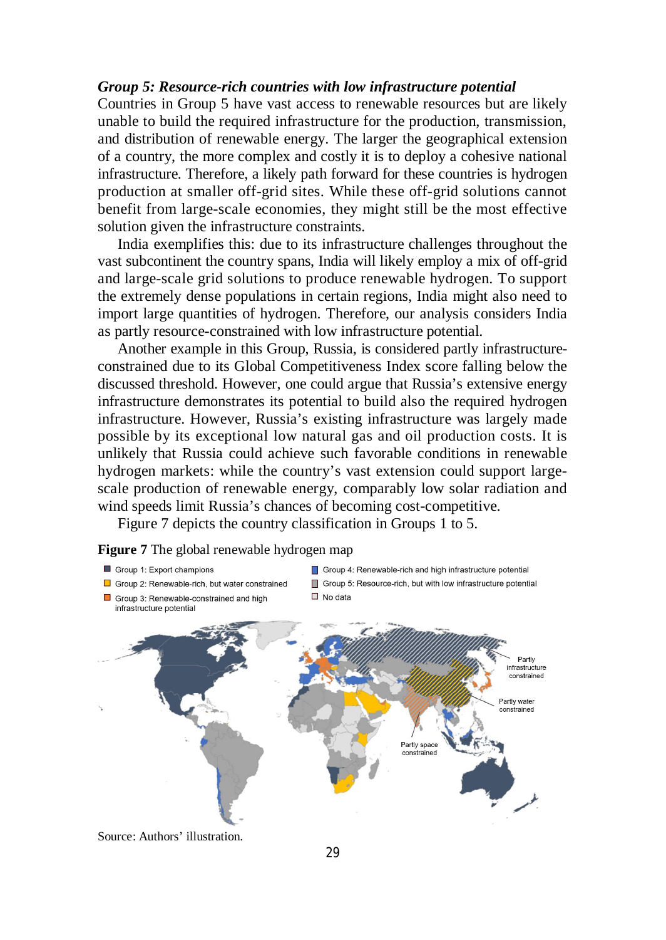#### *Group 5: Resource-rich countries with low infrastructure potential*

Countries in Group 5 have vast access to renewable resources but are likely unable to build the required infrastructure for the production, transmission, and distribution of renewable energy. The larger the geographical extension of a country, the more complex and costly it is to deploy a cohesive national infrastructure. Therefore, a likely path forward for these countries is hydrogen production at smaller off-grid sites. While these off-grid solutions cannot benefit from large-scale economies, they might still be the most effective solution given the infrastructure constraints.

India exemplifies this: due to its infrastructure challenges throughout the vast subcontinent the country spans, India will likely employ a mix of off-grid and large-scale grid solutions to produce renewable hydrogen. To support the extremely dense populations in certain regions, India might also need to import large quantities of hydrogen. Therefore, our analysis considers India as partly resource-constrained with low infrastructure potential.

Another example in this Group, Russia, is considered partly infrastructureconstrained due to its Global Competitiveness Index score falling below the discussed threshold. However, one could argue that Russia's extensive energy infrastructure demonstrates its potential to build also the required hydrogen infrastructure. However, Russia's existing infrastructure was largely made possible by its exceptional low natural gas and oil production costs. It is unlikely that Russia could achieve such favorable conditions in renewable hydrogen markets: while the country's vast extension could support largescale production of renewable energy, comparably low solar radiation and wind speeds limit Russia's chances of becoming cost-competitive.

Figure 7 depicts the country classification in Groups 1 to 5.



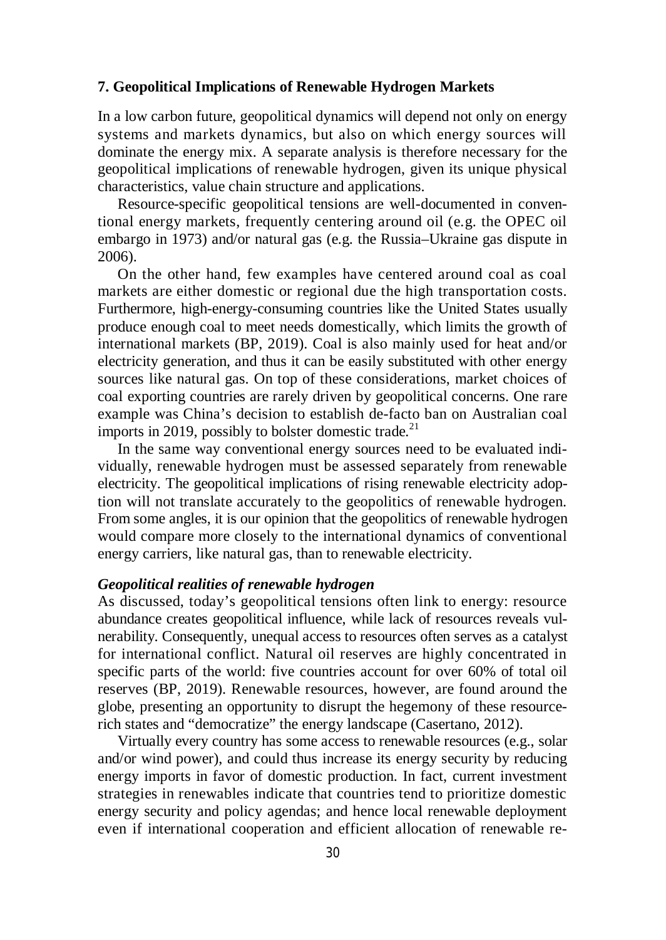#### **7. Geopolitical Implications of Renewable Hydrogen Markets**

In a low carbon future, geopolitical dynamics will depend not only on energy systems and markets dynamics, but also on which energy sources will dominate the energy mix. A separate analysis is therefore necessary for the geopolitical implications of renewable hydrogen, given its unique physical characteristics, value chain structure and applications.

Resource-specific geopolitical tensions are well-documented in conventional energy markets, frequently centering around oil (e.g. the OPEC oil embargo in 1973) and/or natural gas (e.g. the Russia–Ukraine gas dispute in 2006).

On the other hand, few examples have centered around coal as coal markets are either domestic or regional due the high transportation costs. Furthermore, high-energy-consuming countries like the United States usually produce enough coal to meet needs domestically, which limits the growth of international markets (BP, 2019). Coal is also mainly used for heat and/or electricity generation, and thus it can be easily substituted with other energy sources like natural gas. On top of these considerations, market choices of coal exporting countries are rarely driven by geopolitical concerns. One rare example was China's decision to establish de-facto ban on Australian coal imports in 2019, possibly to bolster domestic trade.<sup>21</sup>

In the same way conventional energy sources need to be evaluated individually, renewable hydrogen must be assessed separately from renewable electricity. The geopolitical implications of rising renewable electricity adoption will not translate accurately to the geopolitics of renewable hydrogen. From some angles, it is our opinion that the geopolitics of renewable hydrogen would compare more closely to the international dynamics of conventional energy carriers, like natural gas, than to renewable electricity.

### *Geopolitical realities of renewable hydrogen*

As discussed, today's geopolitical tensions often link to energy: resource abundance creates geopolitical influence, while lack of resources reveals vulnerability. Consequently, unequal access to resources often serves as a catalyst for international conflict. Natural oil reserves are highly concentrated in specific parts of the world: five countries account for over 60% of total oil reserves (BP, 2019). Renewable resources, however, are found around the globe, presenting an opportunity to disrupt the hegemony of these resourcerich states and "democratize" the energy landscape (Casertano, 2012).

Virtually every country has some access to renewable resources (e.g., solar and/or wind power), and could thus increase its energy security by reducing energy imports in favor of domestic production. In fact, current investment strategies in renewables indicate that countries tend to prioritize domestic energy security and policy agendas; and hence local renewable deployment even if international cooperation and efficient allocation of renewable re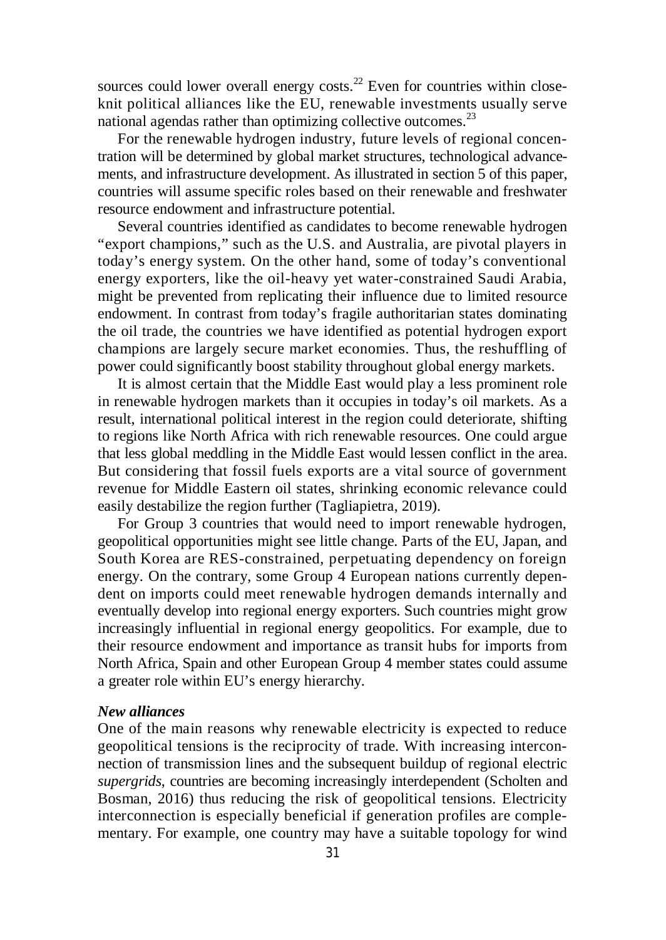sources could lower overall energy costs.<sup>22</sup> Even for countries within closeknit political alliances like the EU, renewable investments usually serve national agendas rather than optimizing collective outcomes.<sup>23</sup>

For the renewable hydrogen industry, future levels of regional concentration will be determined by global market structures, technological advancements, and infrastructure development. As illustrated in section 5 of this paper, countries will assume specific roles based on their renewable and freshwater resource endowment and infrastructure potential.

Several countries identified as candidates to become renewable hydrogen "export champions," such as the U.S. and Australia, are pivotal players in today's energy system. On the other hand, some of today's conventional energy exporters, like the oil-heavy yet water-constrained Saudi Arabia, might be prevented from replicating their influence due to limited resource endowment. In contrast from today's fragile authoritarian states dominating the oil trade, the countries we have identified as potential hydrogen export champions are largely secure market economies. Thus, the reshuffling of power could significantly boost stability throughout global energy markets.

It is almost certain that the Middle East would play a less prominent role in renewable hydrogen markets than it occupies in today's oil markets. As a result, international political interest in the region could deteriorate, shifting to regions like North Africa with rich renewable resources. One could argue that less global meddling in the Middle East would lessen conflict in the area. But considering that fossil fuels exports are a vital source of government revenue for Middle Eastern oil states, shrinking economic relevance could easily destabilize the region further (Tagliapietra, 2019).

For Group 3 countries that would need to import renewable hydrogen, geopolitical opportunities might see little change. Parts of the EU, Japan, and South Korea are RES-constrained, perpetuating dependency on foreign energy. On the contrary, some Group 4 European nations currently dependent on imports could meet renewable hydrogen demands internally and eventually develop into regional energy exporters. Such countries might grow increasingly influential in regional energy geopolitics. For example, due to their resource endowment and importance as transit hubs for imports from North Africa, Spain and other European Group 4 member states could assume a greater role within EU's energy hierarchy.

#### *New alliances*

One of the main reasons why renewable electricity is expected to reduce geopolitical tensions is the reciprocity of trade. With increasing interconnection of transmission lines and the subsequent buildup of regional electric *supergrids*, countries are becoming increasingly interdependent (Scholten and Bosman, 2016) thus reducing the risk of geopolitical tensions. Electricity interconnection is especially beneficial if generation profiles are complementary. For example, one country may have a suitable topology for wind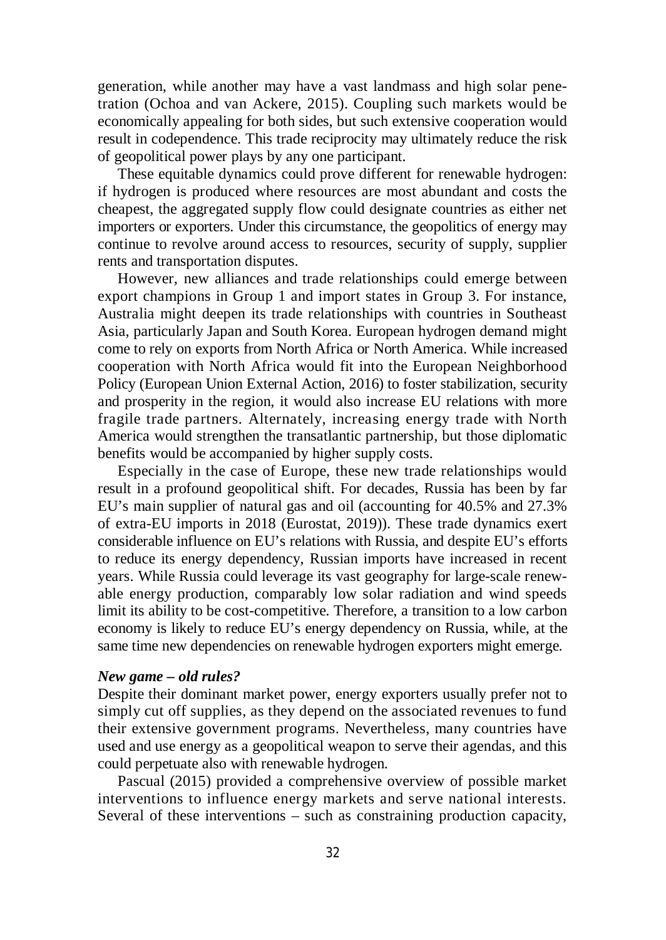generation, while another may have a vast landmass and high solar penetration (Ochoa and van Ackere, 2015). Coupling such markets would be economically appealing for both sides, but such extensive cooperation would result in codependence. This trade reciprocity may ultimately reduce the risk of geopolitical power plays by any one participant.

These equitable dynamics could prove different for renewable hydrogen: if hydrogen is produced where resources are most abundant and costs the cheapest, the aggregated supply flow could designate countries as either net importers or exporters. Under this circumstance, the geopolitics of energy may continue to revolve around access to resources, security of supply, supplier rents and transportation disputes.

However, new alliances and trade relationships could emerge between export champions in Group 1 and import states in Group 3. For instance, Australia might deepen its trade relationships with countries in Southeast Asia, particularly Japan and South Korea. European hydrogen demand might come to rely on exports from North Africa or North America. While increased cooperation with North Africa would fit into the European Neighborhood Policy (European Union External Action, 2016) to foster stabilization, security and prosperity in the region, it would also increase EU relations with more fragile trade partners. Alternately, increasing energy trade with North America would strengthen the transatlantic partnership, but those diplomatic benefits would be accompanied by higher supply costs.

Especially in the case of Europe, these new trade relationships would result in a profound geopolitical shift. For decades, Russia has been by far EU's main supplier of natural gas and oil (accounting for 40.5% and 27.3% of extra-EU imports in 2018 (Eurostat, 2019)). These trade dynamics exert considerable influence on EU's relations with Russia, and despite EU's efforts to reduce its energy dependency, Russian imports have increased in recent years. While Russia could leverage its vast geography for large-scale renewable energy production, comparably low solar radiation and wind speeds limit its ability to be cost-competitive. Therefore, a transition to a low carbon economy is likely to reduce EU's energy dependency on Russia, while, at the same time new dependencies on renewable hydrogen exporters might emerge.

#### *New game – old rules?*

Despite their dominant market power, energy exporters usually prefer not to simply cut off supplies, as they depend on the associated revenues to fund their extensive government programs. Nevertheless, many countries have used and use energy as a geopolitical weapon to serve their agendas, and this could perpetuate also with renewable hydrogen.

Pascual (2015) provided a comprehensive overview of possible market interventions to influence energy markets and serve national interests. Several of these interventions – such as constraining production capacity,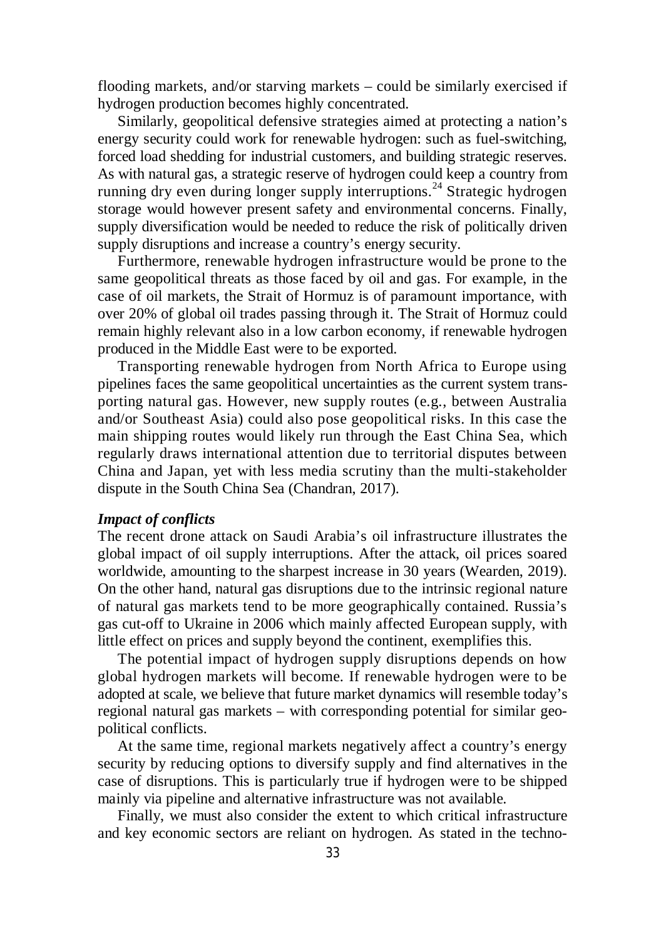flooding markets, and/or starving markets – could be similarly exercised if hydrogen production becomes highly concentrated.

Similarly, geopolitical defensive strategies aimed at protecting a nation's energy security could work for renewable hydrogen: such as fuel-switching, forced load shedding for industrial customers, and building strategic reserves. As with natural gas, a strategic reserve of hydrogen could keep a country from running dry even during longer supply interruptions.<sup>24</sup> Strategic hydrogen storage would however present safety and environmental concerns. Finally, supply diversification would be needed to reduce the risk of politically driven supply disruptions and increase a country's energy security.

Furthermore, renewable hydrogen infrastructure would be prone to the same geopolitical threats as those faced by oil and gas. For example, in the case of oil markets, the Strait of Hormuz is of paramount importance, with over 20% of global oil trades passing through it. The Strait of Hormuz could remain highly relevant also in a low carbon economy, if renewable hydrogen produced in the Middle East were to be exported.

Transporting renewable hydrogen from North Africa to Europe using pipelines faces the same geopolitical uncertainties as the current system transporting natural gas. However, new supply routes (e.g., between Australia and/or Southeast Asia) could also pose geopolitical risks. In this case the main shipping routes would likely run through the East China Sea, which regularly draws international attention due to territorial disputes between China and Japan, yet with less media scrutiny than the multi-stakeholder dispute in the South China Sea (Chandran, 2017).

#### *Impact of conflicts*

The recent drone attack on Saudi Arabia's oil infrastructure illustrates the global impact of oil supply interruptions. After the attack, oil prices soared worldwide, amounting to the sharpest increase in 30 years (Wearden, 2019). On the other hand, natural gas disruptions due to the intrinsic regional nature of natural gas markets tend to be more geographically contained. Russia's gas cut-off to Ukraine in 2006 which mainly affected European supply, with little effect on prices and supply beyond the continent, exemplifies this.

The potential impact of hydrogen supply disruptions depends on how global hydrogen markets will become. If renewable hydrogen were to be adopted at scale, we believe that future market dynamics will resemble today's regional natural gas markets – with corresponding potential for similar geopolitical conflicts.

At the same time, regional markets negatively affect a country's energy security by reducing options to diversify supply and find alternatives in the case of disruptions. This is particularly true if hydrogen were to be shipped mainly via pipeline and alternative infrastructure was not available.

Finally, we must also consider the extent to which critical infrastructure and key economic sectors are reliant on hydrogen. As stated in the techno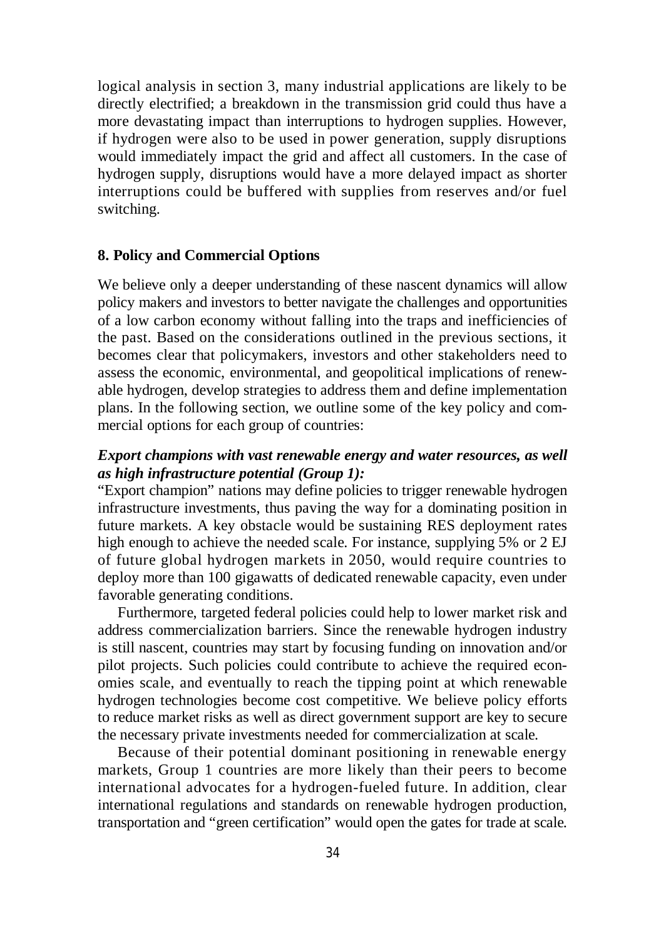logical analysis in section 3, many industrial applications are likely to be directly electrified; a breakdown in the transmission grid could thus have a more devastating impact than interruptions to hydrogen supplies. However, if hydrogen were also to be used in power generation, supply disruptions would immediately impact the grid and affect all customers. In the case of hydrogen supply, disruptions would have a more delayed impact as shorter interruptions could be buffered with supplies from reserves and/or fuel switching.

#### **8. Policy and Commercial Options**

We believe only a deeper understanding of these nascent dynamics will allow policy makers and investors to better navigate the challenges and opportunities of a low carbon economy without falling into the traps and inefficiencies of the past. Based on the considerations outlined in the previous sections, it becomes clear that policymakers, investors and other stakeholders need to assess the economic, environmental, and geopolitical implications of renewable hydrogen, develop strategies to address them and define implementation plans. In the following section, we outline some of the key policy and commercial options for each group of countries:

### *Export champions with vast renewable energy and water resources, as well as high infrastructure potential (Group 1):*

"Export champion" nations may define policies to trigger renewable hydrogen infrastructure investments, thus paving the way for a dominating position in future markets. A key obstacle would be sustaining RES deployment rates high enough to achieve the needed scale. For instance, supplying 5% or 2 EJ of future global hydrogen markets in 2050, would require countries to deploy more than 100 gigawatts of dedicated renewable capacity, even under favorable generating conditions.

Furthermore, targeted federal policies could help to lower market risk and address commercialization barriers. Since the renewable hydrogen industry is still nascent, countries may start by focusing funding on innovation and/or pilot projects. Such policies could contribute to achieve the required economies scale, and eventually to reach the tipping point at which renewable hydrogen technologies become cost competitive. We believe policy efforts to reduce market risks as well as direct government support are key to secure the necessary private investments needed for commercialization at scale.

Because of their potential dominant positioning in renewable energy markets, Group 1 countries are more likely than their peers to become international advocates for a hydrogen-fueled future. In addition, clear international regulations and standards on renewable hydrogen production, transportation and "green certification" would open the gates for trade at scale.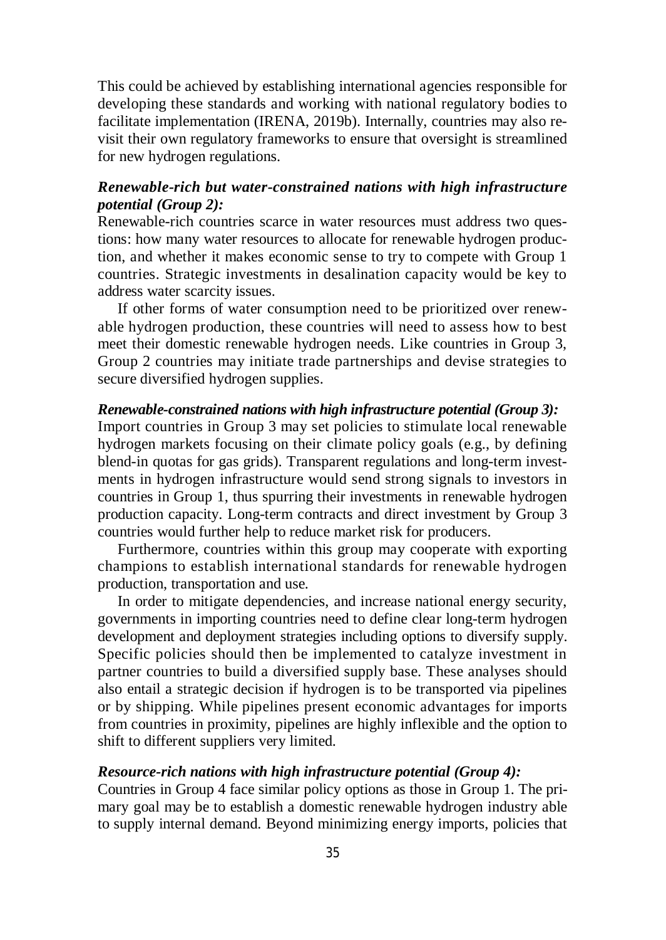This could be achieved by establishing international agencies responsible for developing these standards and working with national regulatory bodies to facilitate implementation (IRENA, 2019b). Internally, countries may also revisit their own regulatory frameworks to ensure that oversight is streamlined for new hydrogen regulations.

### *Renewable-rich but water-constrained nations with high infrastructure potential (Group 2):*

Renewable-rich countries scarce in water resources must address two questions: how many water resources to allocate for renewable hydrogen production, and whether it makes economic sense to try to compete with Group 1 countries. Strategic investments in desalination capacity would be key to address water scarcity issues.

If other forms of water consumption need to be prioritized over renewable hydrogen production, these countries will need to assess how to best meet their domestic renewable hydrogen needs. Like countries in Group 3, Group 2 countries may initiate trade partnerships and devise strategies to secure diversified hydrogen supplies.

#### *Renewable-constrained nations with high infrastructure potential (Group 3):*

Import countries in Group 3 may set policies to stimulate local renewable hydrogen markets focusing on their climate policy goals (e.g., by defining blend-in quotas for gas grids). Transparent regulations and long-term investments in hydrogen infrastructure would send strong signals to investors in countries in Group 1, thus spurring their investments in renewable hydrogen production capacity. Long-term contracts and direct investment by Group 3 countries would further help to reduce market risk for producers.

Furthermore, countries within this group may cooperate with exporting champions to establish international standards for renewable hydrogen production, transportation and use.

In order to mitigate dependencies, and increase national energy security, governments in importing countries need to define clear long-term hydrogen development and deployment strategies including options to diversify supply. Specific policies should then be implemented to catalyze investment in partner countries to build a diversified supply base. These analyses should also entail a strategic decision if hydrogen is to be transported via pipelines or by shipping. While pipelines present economic advantages for imports from countries in proximity, pipelines are highly inflexible and the option to shift to different suppliers very limited.

#### *Resource-rich nations with high infrastructure potential (Group 4):*

Countries in Group 4 face similar policy options as those in Group 1. The primary goal may be to establish a domestic renewable hydrogen industry able to supply internal demand. Beyond minimizing energy imports, policies that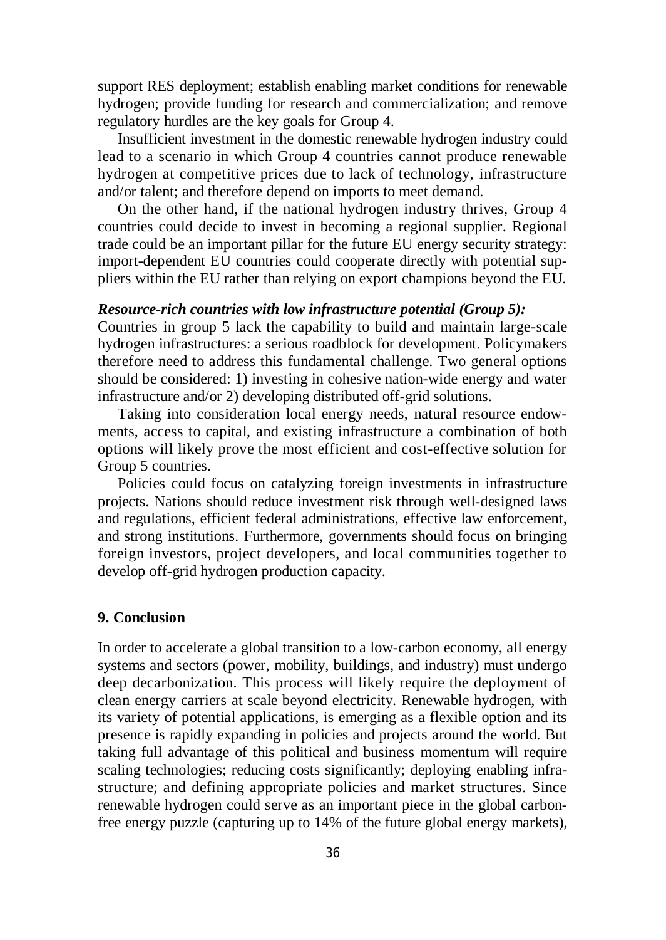support RES deployment; establish enabling market conditions for renewable hydrogen; provide funding for research and commercialization; and remove regulatory hurdles are the key goals for Group 4.

Insufficient investment in the domestic renewable hydrogen industry could lead to a scenario in which Group 4 countries cannot produce renewable hydrogen at competitive prices due to lack of technology, infrastructure and/or talent; and therefore depend on imports to meet demand.

On the other hand, if the national hydrogen industry thrives, Group 4 countries could decide to invest in becoming a regional supplier. Regional trade could be an important pillar for the future EU energy security strategy: import-dependent EU countries could cooperate directly with potential suppliers within the EU rather than relying on export champions beyond the EU.

#### *Resource-rich countries with low infrastructure potential (Group 5):*

Countries in group 5 lack the capability to build and maintain large-scale hydrogen infrastructures: a serious roadblock for development. Policymakers therefore need to address this fundamental challenge. Two general options should be considered: 1) investing in cohesive nation-wide energy and water infrastructure and/or 2) developing distributed off-grid solutions.

Taking into consideration local energy needs, natural resource endowments, access to capital, and existing infrastructure a combination of both options will likely prove the most efficient and cost-effective solution for Group 5 countries.

Policies could focus on catalyzing foreign investments in infrastructure projects. Nations should reduce investment risk through well-designed laws and regulations, efficient federal administrations, effective law enforcement, and strong institutions. Furthermore, governments should focus on bringing foreign investors, project developers, and local communities together to develop off-grid hydrogen production capacity.

#### **9. Conclusion**

In order to accelerate a global transition to a low-carbon economy, all energy systems and sectors (power, mobility, buildings, and industry) must undergo deep decarbonization. This process will likely require the deployment of clean energy carriers at scale beyond electricity. Renewable hydrogen, with its variety of potential applications, is emerging as a flexible option and its presence is rapidly expanding in policies and projects around the world. But taking full advantage of this political and business momentum will require scaling technologies; reducing costs significantly; deploying enabling infrastructure; and defining appropriate policies and market structures. Since renewable hydrogen could serve as an important piece in the global carbonfree energy puzzle (capturing up to 14% of the future global energy markets),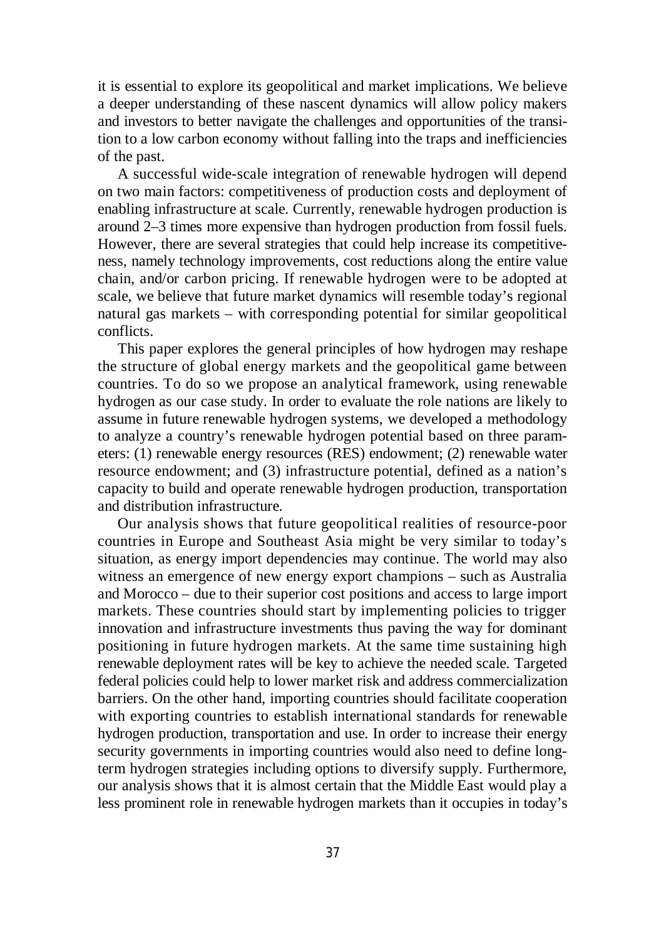it is essential to explore its geopolitical and market implications. We believe a deeper understanding of these nascent dynamics will allow policy makers and investors to better navigate the challenges and opportunities of the transition to a low carbon economy without falling into the traps and inefficiencies of the past.

A successful wide-scale integration of renewable hydrogen will depend on two main factors: competitiveness of production costs and deployment of enabling infrastructure at scale. Currently, renewable hydrogen production is around 2–3 times more expensive than hydrogen production from fossil fuels. However, there are several strategies that could help increase its competitiveness, namely technology improvements, cost reductions along the entire value chain, and/or carbon pricing. If renewable hydrogen were to be adopted at scale, we believe that future market dynamics will resemble today's regional natural gas markets – with corresponding potential for similar geopolitical conflicts.

This paper explores the general principles of how hydrogen may reshape the structure of global energy markets and the geopolitical game between countries. To do so we propose an analytical framework, using renewable hydrogen as our case study. In order to evaluate the role nations are likely to assume in future renewable hydrogen systems, we developed a methodology to analyze a country's renewable hydrogen potential based on three parameters: (1) renewable energy resources (RES) endowment; (2) renewable water resource endowment; and (3) infrastructure potential, defined as a nation's capacity to build and operate renewable hydrogen production, transportation and distribution infrastructure.

Our analysis shows that future geopolitical realities of resource-poor countries in Europe and Southeast Asia might be very similar to today's situation, as energy import dependencies may continue. The world may also witness an emergence of new energy export champions – such as Australia and Morocco – due to their superior cost positions and access to large import markets. These countries should start by implementing policies to trigger innovation and infrastructure investments thus paving the way for dominant positioning in future hydrogen markets. At the same time sustaining high renewable deployment rates will be key to achieve the needed scale. Targeted federal policies could help to lower market risk and address commercialization barriers. On the other hand, importing countries should facilitate cooperation with exporting countries to establish international standards for renewable hydrogen production, transportation and use. In order to increase their energy security governments in importing countries would also need to define longterm hydrogen strategies including options to diversify supply. Furthermore, our analysis shows that it is almost certain that the Middle East would play a less prominent role in renewable hydrogen markets than it occupies in today's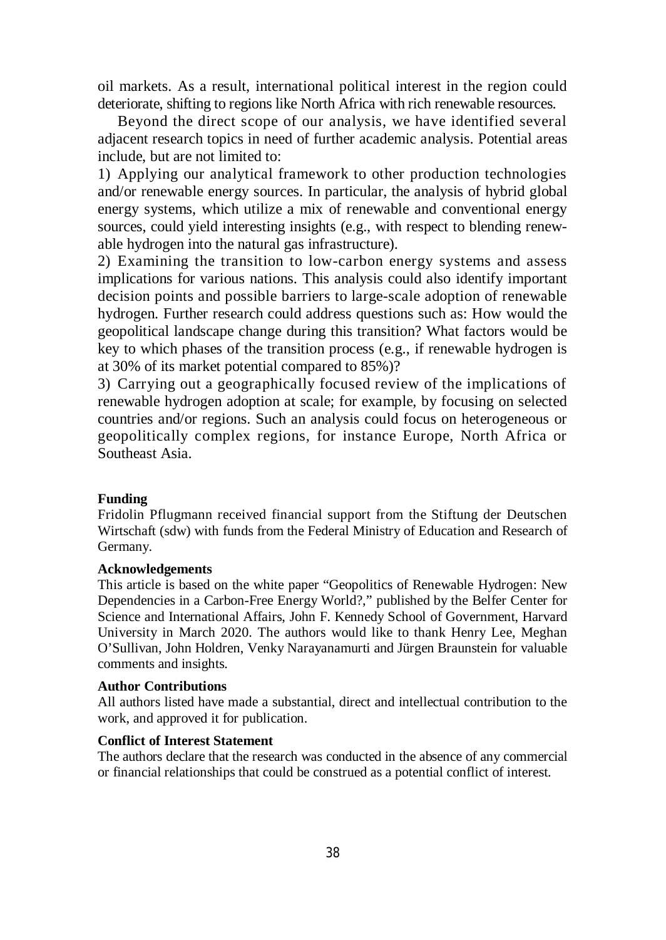oil markets. As a result, international political interest in the region could deteriorate, shifting to regions like North Africa with rich renewable resources.

Beyond the direct scope of our analysis, we have identified several adjacent research topics in need of further academic analysis. Potential areas include, but are not limited to:

1) Applying our analytical framework to other production technologies and/or renewable energy sources. In particular, the analysis of hybrid global energy systems, which utilize a mix of renewable and conventional energy sources, could yield interesting insights (e.g., with respect to blending renewable hydrogen into the natural gas infrastructure).

2) Examining the transition to low-carbon energy systems and assess implications for various nations. This analysis could also identify important decision points and possible barriers to large-scale adoption of renewable hydrogen. Further research could address questions such as: How would the geopolitical landscape change during this transition? What factors would be key to which phases of the transition process (e.g., if renewable hydrogen is at 30% of its market potential compared to 85%)?

3) Carrying out a geographically focused review of the implications of renewable hydrogen adoption at scale; for example, by focusing on selected countries and/or regions. Such an analysis could focus on heterogeneous or geopolitically complex regions, for instance Europe, North Africa or Southeast Asia.

#### **Funding**

Fridolin Pflugmann received financial support from the Stiftung der Deutschen Wirtschaft (sdw) with funds from the Federal Ministry of Education and Research of Germany.

#### **Acknowledgements**

This article is based on the white paper "Geopolitics of Renewable Hydrogen: New Dependencies in a Carbon-Free Energy World?," published by the Belfer Center for Science and International Affairs, John F. Kennedy School of Government, Harvard University in March 2020. The authors would like to thank Henry Lee, Meghan O'Sullivan, John Holdren, Venky Narayanamurti and Jürgen Braunstein for valuable comments and insights.

### **Author Contributions**

All authors listed have made a substantial, direct and intellectual contribution to the work, and approved it for publication.

#### **Conflict of Interest Statement**

The authors declare that the research was conducted in the absence of any commercial or financial relationships that could be construed as a potential conflict of interest.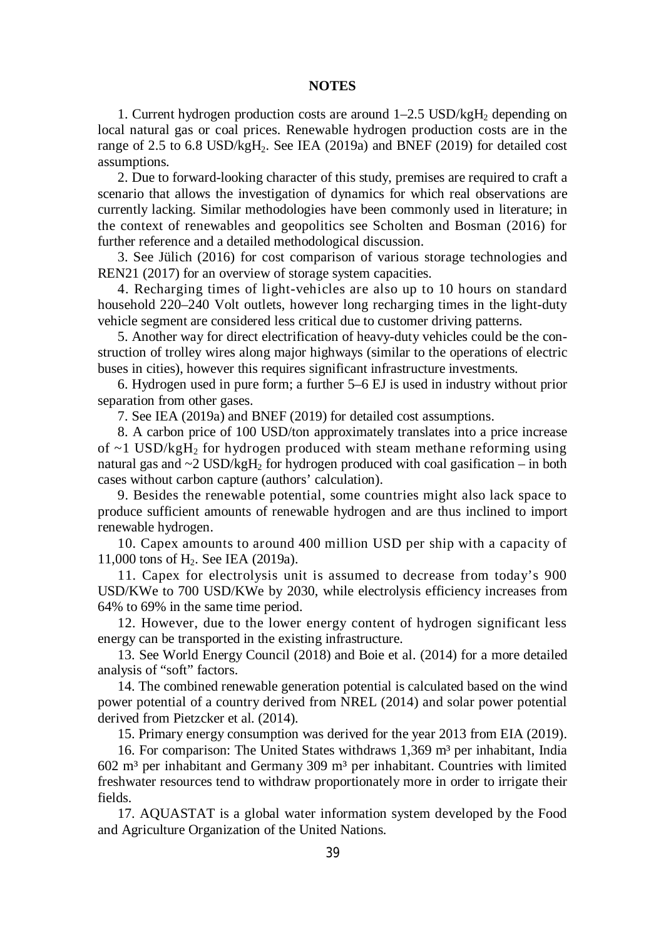#### **NOTES**

1. Current hydrogen production costs are around  $1-2.5 \text{ USD/kgH}_2$  depending on local natural gas or coal prices. Renewable hydrogen production costs are in the range of 2.5 to 6.8 USD/kgH<sub>2</sub>. See IEA (2019a) and BNEF (2019) for detailed cost assumptions.

2. Due to forward-looking character of this study, premises are required to craft a scenario that allows the investigation of dynamics for which real observations are currently lacking. Similar methodologies have been commonly used in literature; in the context of renewables and geopolitics see Scholten and Bosman (2016) for further reference and a detailed methodological discussion.

3. See Jülich (2016) for cost comparison of various storage technologies and REN21 (2017) for an overview of storage system capacities.

4. Recharging times of light-vehicles are also up to 10 hours on standard household 220–240 Volt outlets, however long recharging times in the light-duty vehicle segment are considered less critical due to customer driving patterns.

5. Another way for direct electrification of heavy-duty vehicles could be the construction of trolley wires along major highways (similar to the operations of electric buses in cities), however this requires significant infrastructure investments.

6. Hydrogen used in pure form; a further 5–6 EJ is used in industry without prior separation from other gases.

7. See IEA (2019a) and BNEF (2019) for detailed cost assumptions.

8. A carbon price of 100 USD/ton approximately translates into a price increase of  $\sim$ 1 USD/kgH<sub>2</sub> for hydrogen produced with steam methane reforming using natural gas and  $\sim$  2 USD/kgH<sub>2</sub> for hydrogen produced with coal gasification – in both cases without carbon capture (authors' calculation).

9. Besides the renewable potential, some countries might also lack space to produce sufficient amounts of renewable hydrogen and are thus inclined to import renewable hydrogen.

10. Capex amounts to around 400 million USD per ship with a capacity of 11,000 tons of  $H_2$ . See IEA (2019a).

11. Capex for electrolysis unit is assumed to decrease from today's 900 USD/KWe to 700 USD/KWe by 2030, while electrolysis efficiency increases from 64% to 69% in the same time period.

12. However, due to the lower energy content of hydrogen significant less energy can be transported in the existing infrastructure.

13. See World Energy Council (2018) and Boie et al. (2014) for a more detailed analysis of "soft" factors.

14. The combined renewable generation potential is calculated based on the wind power potential of a country derived from NREL (2014) and solar power potential derived from Pietzcker et al. (2014).

15. Primary energy consumption was derived for the year 2013 from EIA (2019).

16. For comparison: The United States withdraws 1,369 m<sup>3</sup> per inhabitant, India  $602$  m<sup>3</sup> per inhabitant and Germany 309 m<sup>3</sup> per inhabitant. Countries with limited freshwater resources tend to withdraw proportionately more in order to irrigate their fields.

17. AQUASTAT is a global water information system developed by the Food and Agriculture Organization of the United Nations.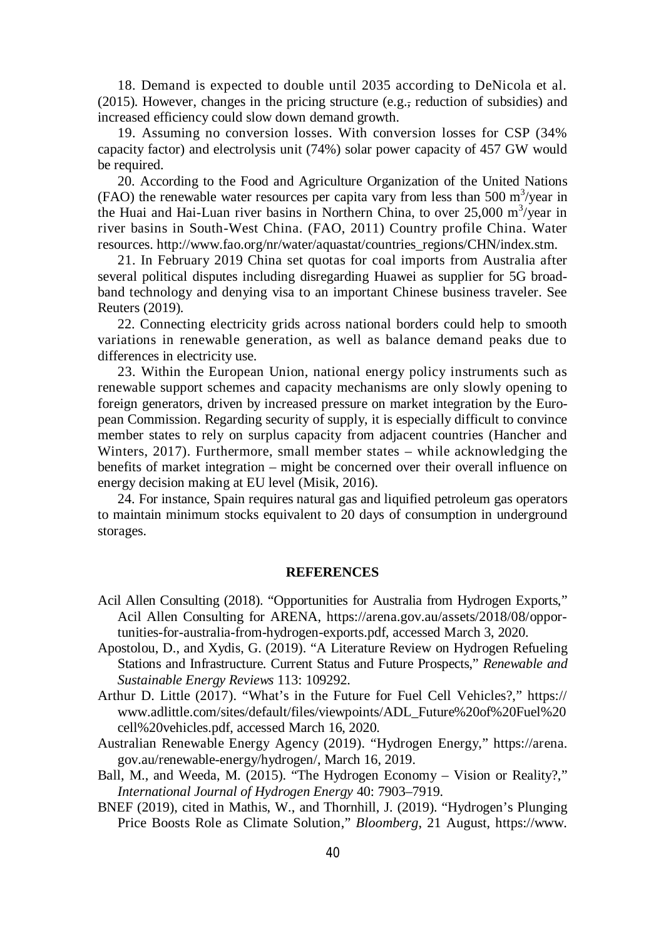18. Demand is expected to double until 2035 according to DeNicola et al. (2015). However, changes in the pricing structure (e.g., reduction of subsidies) and increased efficiency could slow down demand growth.

19. Assuming no conversion losses. With conversion losses for CSP (34% capacity factor) and electrolysis unit (74%) solar power capacity of 457 GW would be required.

20. According to the Food and Agriculture Organization of the United Nations (FAO) the renewable water resources per capita vary from less than 500  $\text{m}^3\text{/year}$  in the Huai and Hai-Luan river basins in Northern China, to over  $25,000 \text{ m}^3/\text{year}}$  in river basins in South-West China. (FAO, 2011) Country profile China. Water resources. [http://www.fao.org/nr/water/aquastat/countries\\_regions/CHN/index.stm.](http://www.fao.org/nr/water/aquastat/countries_regions/CHN/index.stm.)

21. In February 2019 China set quotas for coal imports from Australia after several political disputes including disregarding Huawei as supplier for 5G broadband technology and denying visa to an important Chinese business traveler. See Reuters (2019).

22. Connecting electricity grids across national borders could help to smooth variations in renewable generation, as well as balance demand peaks due to differences in electricity use.

23. Within the European Union, national energy policy instruments such as renewable support schemes and capacity mechanisms are only slowly opening to foreign generators, driven by increased pressure on market integration by the European Commission. Regarding security of supply, it is especially difficult to convince member states to rely on surplus capacity from adjacent countries (Hancher and Winters, 2017). Furthermore, small member states – while acknowledging the benefits of market integration – might be concerned over their overall influence on energy decision making at EU level (Misik, 2016).

24. For instance, Spain requires natural gas and liquified petroleum gas operators to maintain minimum stocks equivalent to 20 days of consumption in underground storages.

#### **REFERENCES**

- Acil Allen Consulting (2018). "Opportunities for Australia from Hydrogen Exports," Acil Allen Consulting for ARENA, [https://arena.gov.au/assets/2018/08/oppor](https://arena.gov.au/assets/2018/08/oppor-)tunities-for-australia-from-hydrogen-exports.pdf, accessed March 3, 2020.
- Apostolou, D., and Xydis, G. (2019). "A Literature Review on Hydrogen Refueling Stations and Infrastructure. Current Status and Future Prospects," *Renewable and Sustainable Energy Reviews* 113: 109292.
- Arthur D. Little (2017). "What's in the Future for Fuel Cell Vehicles?," <https://> [www.adlittle.com/sites/default/files/viewpoints/ADL\\_Future%20of%20Fuel%20](http://www.adlittle.com/sites/default/files/viewpoints/ADL_Future%20of%20Fuel%20) cell%20vehicles.pdf, accessed March 16, 2020.
- Australian Renewable Energy Agency (2019). "Hydrogen Energy," <https://arena.> gov.au/renewable-energy/hydrogen/, March 16, 2019.
- Ball, M., and Weeda, M. (2015). "The Hydrogen Economy Vision or Reality?," *International Journal of Hydrogen Energy* 40: 7903–7919.
- BNEF (2019), cited in Mathis, W., and Thornhill, J. (2019). "Hydrogen's Plunging Price Boosts Role as Climate Solution," *Bloomberg*, 21 August, <https://www.>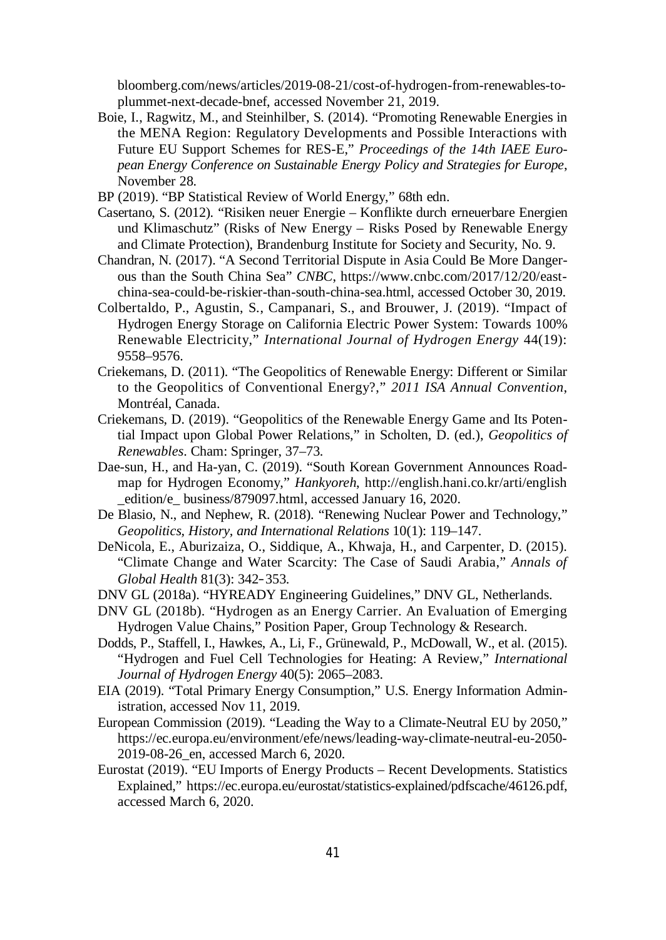bloomberg.com/news/articles/2019-08-21/cost-of-hydrogen-from-renewables-toplummet-next-decade-bnef, accessed November 21, 2019.

- Boie, I., Ragwitz, M., and Steinhilber, S. (2014). "Promoting Renewable Energies in the MENA Region: Regulatory Developments and Possible Interactions with Future EU Support Schemes for RES-E," *Proceedings of the 14th IAEE European Energy Conference on Sustainable Energy Policy and Strategies for Europe*, November 28.
- BP (2019). "BP Statistical Review of World Energy," 68th edn.
- Casertano, S. (2012). "Risiken neuer Energie Konflikte durch erneuerbare Energien und Klimaschutz" (Risks of New Energy – Risks Posed by Renewable Energy and Climate Protection), Brandenburg Institute for Society and Security, No. 9.
- Chandran, N. (2017). "A Second Territorial Dispute in Asia Could Be More Dangerous than the South China Sea" *CNBC*, [https://www.cnbc.com/2017/12/20/east](https://www.cnbc.com/2017/12/20/east-)china-sea-could-be-riskier-than-south-china-sea.html, accessed October 30, 2019.
- Colbertaldo, P., Agustin, S., Campanari, S., and Brouwer, J. (2019). "Impact of Hydrogen Energy Storage on California Electric Power System: Towards 100% Renewable Electricity," *International Journal of Hydrogen Energy* 44(19): 9558–9576.
- Criekemans, D. (2011). "The Geopolitics of Renewable Energy: Different or Similar to the Geopolitics of Conventional Energy?," *2011 ISA Annual Convention*, Montréal, Canada.
- Criekemans, D. (2019). "Geopolitics of the Renewable Energy Game and Its Potential Impact upon Global Power Relations," in Scholten, D. (ed.), *Geopolitics of Renewables*. Cham: Springer, 37–73.
- Dae-sun, H., and Ha-yan, C. (2019). "South Korean Government Announces Roadmap for Hydrogen Economy," *Hankyoreh*, <http://english.hani.co.kr/arti/english> \_edition/e\_ business/879097.html, accessed January 16, 2020.
- De Blasio, N., and Nephew, R. (2018). "Renewing Nuclear Power and Technology," *Geopolitics, History, and International Relations* 10(1): 119–147.
- DeNicola, E., Aburizaiza, O., Siddique, A., Khwaja, H., and Carpenter, D. (2015). "Climate Change and Water Scarcity: The Case of Saudi Arabia," *Annals of Global Health* 81(3): 342–353.
- DNV GL (2018a). "HYREADY Engineering Guidelines," DNV GL, Netherlands.
- DNV GL (2018b). "Hydrogen as an Energy Carrier. An Evaluation of Emerging Hydrogen Value Chains," Position Paper, Group Technology & Research.
- Dodds, P., Staffell, I., Hawkes, A., Li, F., Grünewald, P., McDowall, W., et al. (2015). "Hydrogen and Fuel Cell Technologies for Heating: A Review," *International Journal of Hydrogen Energy* 40(5): 2065–2083.
- EIA (2019). "Total Primary Energy Consumption," U.S. Energy Information Administration, accessed Nov 11, 2019*.*
- European Commission (2019). "Leading the Way to a Climate-Neutral EU by 2050," <https://ec.europa.eu/environment/efe/news/leading-way-climate-neutral-eu-2050-> 2019-08-26\_en, accessed March 6, 2020.
- Eurostat (2019). "EU Imports of Energy Products Recent Developments. Statistics Explained," <https://ec.europa.eu/eurostat/statistics-explained/pdfscache/46126.pdf,> accessed March 6, 2020.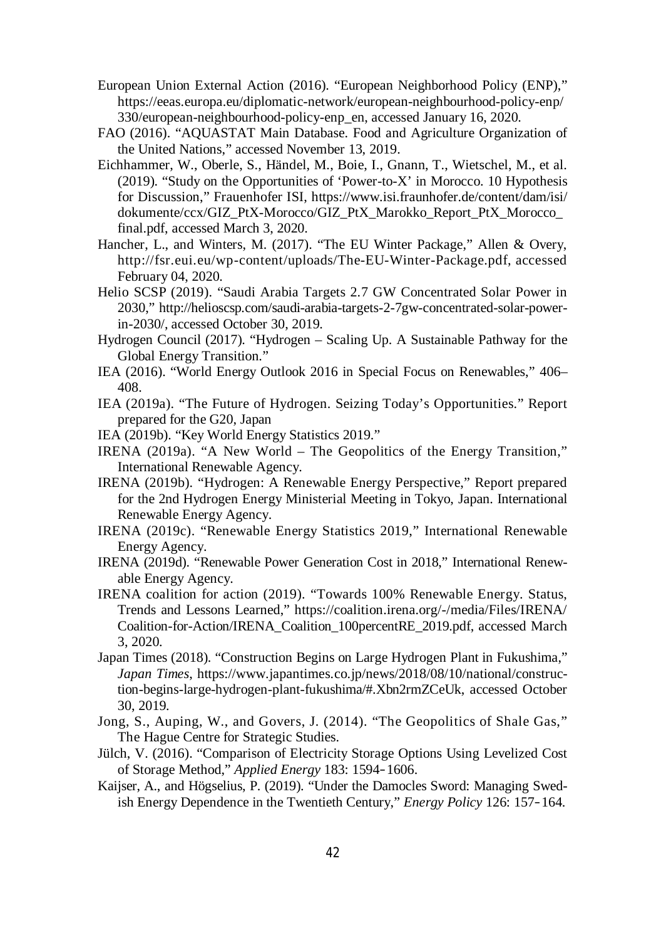- European Union External Action (2016). "European Neighborhood Policy (ENP)," <https://eeas.europa.eu/diplomatic-network/european-neighbourhood-policy-enp/> 330/european-neighbourhood-policy-enp\_en, accessed January 16, 2020.
- FAO (2016). "AQUASTAT Main Database. Food and Agriculture Organization of the United Nations," accessed November 13, 2019.
- Eichhammer, W., Oberle, S., Händel, M., Boie, I., Gnann, T., Wietschel, M., et al. (2019). "Study on the Opportunities of 'Power-to-X' in Morocco. 10 Hypothesis for Discussion," Frauenhofer ISI, <https://www.isi.fraunhofer.de/content/dam/isi/> dokumente/ccx/GIZ\_PtX-Morocco/GIZ\_PtX\_Marokko\_Report\_PtX\_Morocco\_ final.pdf, accessed March 3, 2020.
- Hancher, L., and Winters, M. (2017). "The EU Winter Package," Allen & Overy, <http://fsr.eui.eu/wp-content/uploads/The-EU-Winter-Package.pdf,> accessed February 04, 2020.
- Helio SCSP (2019). "Saudi Arabia Targets 2.7 GW Concentrated Solar Power in 2030," [http://helioscsp.com/saudi-arabia-targets-2-7gw-concentrated-solar-power](http://helioscsp.com/saudi-arabia-targets-2-7gw-concentrated-solar-power-)in-2030/, accessed October 30, 2019.
- Hydrogen Council (2017). "Hydrogen Scaling Up. A Sustainable Pathway for the Global Energy Transition."
- IEA (2016). "World Energy Outlook 2016 in Special Focus on Renewables," 406– 408.
- IEA (2019a). "The Future of Hydrogen. Seizing Today's Opportunities." Report prepared for the G20, Japan
- IEA (2019b). "Key World Energy Statistics 2019."
- IRENA (2019a). "A New World The Geopolitics of the Energy Transition," International Renewable Agency.
- IRENA (2019b). "Hydrogen: A Renewable Energy Perspective," Report prepared for the 2nd Hydrogen Energy Ministerial Meeting in Tokyo, Japan. International Renewable Energy Agency.
- IRENA (2019c). "Renewable Energy Statistics 2019," International Renewable Energy Agency.
- IRENA (2019d). "Renewable Power Generation Cost in 2018," International Renewable Energy Agency.
- IRENA coalition for action (2019). "Towards 100% Renewable Energy. Status, Trends and Lessons Learned," <https://coalition.irena.org/-/media/Files/IRENA/> Coalition-for-Action/IRENA\_Coalition\_100percentRE\_2019.pdf, accessed March 3, 2020.
- Japan Times (2018). "Construction Begins on Large Hydrogen Plant in Fukushima," *Japan Times*, [https://www.japantimes.co.jp/news/2018/08/10/national/construc](https://www.japantimes.co.jp/news/2018/08/10/national/construc-)tion-begins-large-hydrogen-plant-fukushima/#.Xbn2rmZCeUk, accessed October 30, 2019.
- Jong, S., Auping, W., and Govers, J. (2014). "The Geopolitics of Shale Gas," The Hague Centre for Strategic Studies.
- Jülch, V. (2016). "Comparison of Electricity Storage Options Using Levelized Cost of Storage Method," *Applied Energy* 183: 1594–1606.
- Kaijser, A., and Högselius, P. (2019). "Under the Damocles Sword: Managing Swedish Energy Dependence in the Twentieth Century," *Energy Policy* 126: 157–164.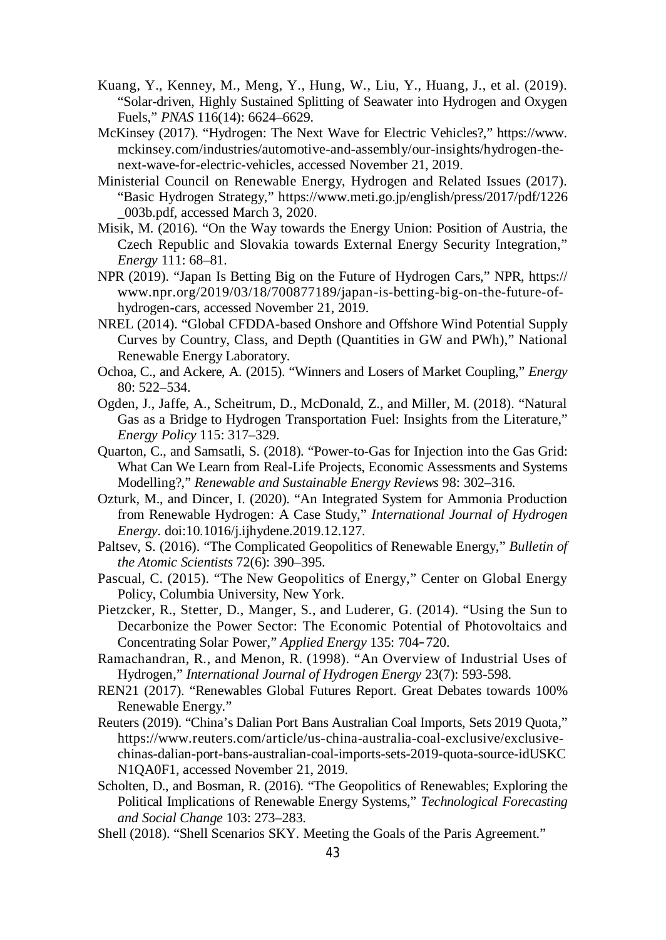- Kuang, Y., Kenney, M., Meng, Y., Hung, W., Liu, Y., Huang, J., et al. (2019). "Solar-driven, Highly Sustained Splitting of Seawater into Hydrogen and Oxygen Fuels," *PNAS* 116(14): 6624–6629.
- McKinsey (2017). "Hydrogen: The Next Wave for Electric Vehicles?," <https://www.> mckinsey.com/industries/automotive-and-assembly/our-insights/hydrogen-thenext-wave-for-electric-vehicles, accessed November 21, 2019.
- Ministerial Council on Renewable Energy, Hydrogen and Related Issues (2017). "Basic Hydrogen Strategy," <https://www.meti.go.jp/english/press/2017/pdf/1226> \_003b.pdf, accessed March 3, 2020.
- Misik, M. (2016). "On the Way towards the Energy Union: Position of Austria, the Czech Republic and Slovakia towards External Energy Security Integration," *Energy* 111: 68–81.
- NPR (2019). "Japan Is Betting Big on the Future of Hydrogen Cars," NPR, <https://> [www.npr.org/2019/03/18/700877189/japan-is-betting-big-on-the-future-of](http://www.npr.org/2019/03/18/700877189/japan-is-betting-big-on-the-future-of-)hydrogen-cars, accessed November 21, 2019.
- NREL (2014). "Global CFDDA-based Onshore and Offshore Wind Potential Supply Curves by Country, Class, and Depth (Quantities in GW and PWh)," National Renewable Energy Laboratory.
- Ochoa, C., and Ackere, A. (2015). "Winners and Losers of Market Coupling," *Energy* 80: 522–534.
- Ogden, J., Jaffe, A., Scheitrum, D., McDonald, Z., and Miller, M. (2018). "Natural Gas as a Bridge to Hydrogen Transportation Fuel: Insights from the Literature," *Energy Policy* 115: 317–329.
- Quarton, C., and Samsatli, S. (2018). "Power-to-Gas for Injection into the Gas Grid: What Can We Learn from Real-Life Projects, Economic Assessments and Systems Modelling?," *Renewable and Sustainable Energy Reviews* 98: 302–316.
- Ozturk, M., and Dincer, I. (2020). "An Integrated System for Ammonia Production from Renewable Hydrogen: A Case Study," *International Journal of Hydrogen Energy.* doi:10.1016/j.ijhydene.2019.12.127.
- Paltsev, S. (2016). "The Complicated Geopolitics of Renewable Energy," *Bulletin of the Atomic Scientists* 72(6): 390–395.
- Pascual, C. (2015). "The New Geopolitics of Energy," Center on Global Energy Policy, Columbia University, New York.
- Pietzcker, R., Stetter, D., Manger, S., and Luderer, G. (2014). "Using the Sun to Decarbonize the Power Sector: The Economic Potential of Photovoltaics and Concentrating Solar Power," *Applied Energy* 135: 704–720.
- Ramachandran, R., and Menon, R. (1998). "An Overview of Industrial Uses of Hydrogen," *International Journal of Hydrogen Energy* 23(7): 593-598.
- REN21 (2017). "Renewables Global Futures Report. Great Debates towards 100% Renewable Energy."
- Reuters (2019). "China's Dalian Port Bans Australian Coal Imports, Sets 2019 Quota," [https://www.reuters.com/article/us-china-australia-coal-exclusive/exclusive](https://www.reuters.com/article/us-china-australia-coal-exclusive/exclusive-)chinas-dalian-port-bans-australian-coal-imports-sets-2019-quota-source-idUSKC N1QA0F1, accessed November 21, 2019.
- Scholten, D., and Bosman, R. (2016). "The Geopolitics of Renewables; Exploring the Political Implications of Renewable Energy Systems," *Technological Forecasting and Social Change* 103: 273–283.
- Shell (2018). "Shell Scenarios SKY. Meeting the Goals of the Paris Agreement."